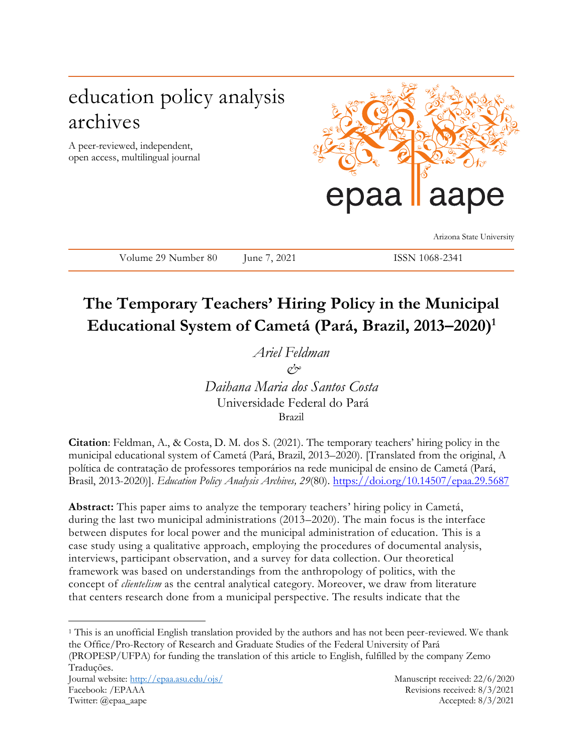# education policy analysis archives

A peer-reviewed, independent, open access, multilingual journal



Arizona State University

Volume 29 Number 80 June 7, 2021 ISSN 1068-2341

# **The Temporary Teachers' Hiring Policy in the Municipal Educational System of Cametá (Pará, Brazil, 2013–2020)<sup>1</sup>**

*Ariel Feldman & Daihana Maria dos Santos Costa*  Universidade Federal do Pará

Brazil

**Citation**: Feldman, A., & Costa, D. M. dos S. (2021). The temporary teachers' hiring policy in the municipal educational system of Cametá (Pará, Brazil, 2013–2020). [Translated from the original, A política de contratação de professores temporários na rede municipal de ensino de Cametá (Pará, Brasil, 2013-2020)]. *Education Policy Analysis Archives, 29*(80). <https://doi.org/10.14507/epaa.29.5687>

**Abstract:** This paper aims to analyze the temporary teachers' hiring policy in Cametá, during the last two municipal administrations (2013–2020). The main focus is the interface between disputes for local power and the municipal administration of education. This is a case study using a qualitative approach, employing the procedures of documental analysis, interviews, participant observation, and a survey for data collection. Our theoretical framework was based on understandings from the anthropology of politics, with the concept of *clientelism* as the central analytical category. Moreover, we draw from literature that centers research done from a municipal perspective. The results indicate that the

<sup>1</sup> This is an unofficial English translation provided by the authors and has not been peer-reviewed. We thank the Office/Pro-Rectory of Research and Graduate Studies of the Federal University of Pará (PROPESP/UFPA) for funding the translation of this article to English, fulfilled by the company Zemo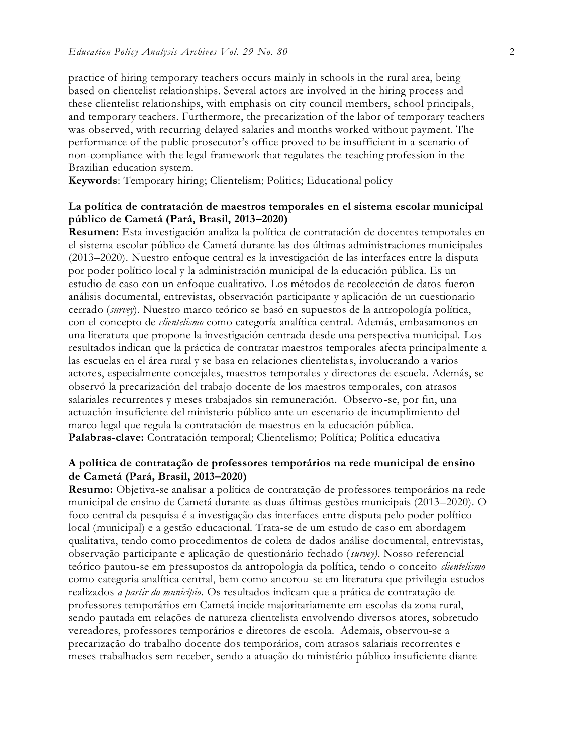practice of hiring temporary teachers occurs mainly in schools in the rural area, being based on clientelist relationships. Several actors are involved in the hiring process and these clientelist relationships, with emphasis on city council members, school principals, and temporary teachers. Furthermore, the precarization of the labor of temporary teachers was observed, with recurring delayed salaries and months worked without payment. The performance of the public prosecutor's office proved to be insufficient in a scenario of non-compliance with the legal framework that regulates the teaching profession in the Brazilian education system.

**Keywords**: Temporary hiring; Clientelism; Politics; Educational policy

### **La política de contratación de maestros temporales en el sistema escolar municipal público de Cametá (Pará, Brasil, 2013–2020)**

**Resumen:** Esta investigación analiza la política de contratación de docentes temporales en el sistema escolar público de Cametá durante las dos últimas administraciones municipales (2013–2020). Nuestro enfoque central es la investigación de las interfaces entre la disputa por poder político local y la administración municipal de la educación pública. Es un estudio de caso con un enfoque cualitativo. Los métodos de recolección de datos fueron análisis documental, entrevistas, observación participante y aplicación de un cuestionario cerrado (*survey*). Nuestro marco teórico se basó en supuestos de la antropología política, con el concepto de *clientelismo* como categoría analítica central. Además, embasamonos en una literatura que propone la investigación centrada desde una perspectiva municipal. Los resultados indican que la práctica de contratar maestros temporales afecta principa lmente a las escuelas en el área rural y se basa en relaciones clientelistas, involucrando a varios actores, especialmente concejales, maestros temporales y directores de escuela. Además, se observó la precarización del trabajo docente de los maestros temporales, con atrasos salariales recurrentes y meses trabajados sin remuneración. Observo-se, por fin, una actuación insuficiente del ministerio público ante un escenario de incumplimiento del marco legal que regula la contratación de maestros en la educación pública. **Palabras-clave:** Contratación temporal; Clientelismo; Política; Política educativa

# **A política de contratação de professores temporários na rede municipal de ensino de Cametá (Pará, Brasil, 2013–2020)**

**Resumo:** Objetiva-se analisar a política de contratação de professores temporários na rede municipal de ensino de Cametá durante as duas últimas gestões municipais (2013–2020). O foco central da pesquisa é a investigação das interfaces entre disputa pelo poder político local (municipal) e a gestão educacional. Trata-se de um estudo de caso em abordagem qualitativa, tendo como procedimentos de coleta de dados análise documental, entrevistas, observação participante e aplicação de questionário fechado (*survey)*. Nosso referencial teórico pautou-se em pressupostos da antropologia da política, tendo o conceito *clientelismo*  como categoria analítica central, bem como ancorou-se em literatura que privilegia estudos realizados *a partir do município.* Os resultados indicam que a prática de contratação de professores temporários em Cametá incide majoritariamente em escolas da zona rural, sendo pautada em relações de natureza clientelista envolvendo diversos atores, sobretudo vereadores, professores temporários e diretores de escola. Ademais, observou-se a precarização do trabalho docente dos temporários, com atrasos salariais recorrentes e meses trabalhados sem receber, sendo a atuação do ministério público insuficiente diante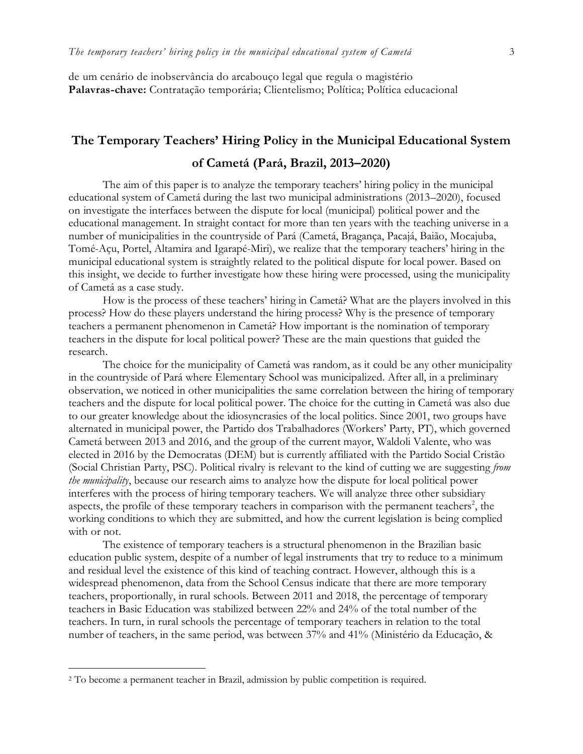de um cenário de inobservância do arcabouço legal que regula o magistério **Palavras-chave:** Contratação temporária; Clientelismo; Política; Política educacional

# **The Temporary Teachers' Hiring Policy in the Municipal Educational System of Cametá (Pará, Brazil, 2013–2020)**

The aim of this paper is to analyze the temporary teachers' hiring policy in the municipal educational system of Cametá during the last two municipal administrations (2013–2020), focused on investigate the interfaces between the dispute for local (municipal) political power and the educational management. In straight contact for more than ten years with the teaching universe in a number of municipalities in the countryside of Pará (Cametá, Bragança, Pacajá, Baião, Mocajuba, Tomé-Açu, Portel, Altamira and Igarapé-Miri), we realize that the temporary teachers' hiring in the municipal educational system is straightly related to the political dispute for local power. Based on this insight, we decide to further investigate how these hiring were processed, using the municipality of Cametá as a case study.

How is the process of these teachers' hiring in Cametá? What are the players involved in this process? How do these players understand the hiring process? Why is the presence of temporary teachers a permanent phenomenon in Cametá? How important is the nomination of temporary teachers in the dispute for local political power? These are the main questions that guided the research.

The choice for the municipality of Cametá was random, as it could be any other municipality in the countryside of Pará where Elementary School was municipalized. After all, in a preliminary observation, we noticed in other municipalities the same correlation between the hiring of temporary teachers and the dispute for local political power. The choice for the cutting in Cametá was also due to our greater knowledge about the idiosyncrasies of the local politics. Since 2001, two groups have alternated in municipal power, the Partido dos Trabalhadores (Workers' Party, PT), which governed Cametá between 2013 and 2016, and the group of the current mayor, Waldoli Valente, who was elected in 2016 by the Democratas (DEM) but is currently affiliated with the Partido Social Cristão (Social Christian Party, PSC). Political rivalry is relevant to the kind of cutting we are suggesting *from the municipality*, because our research aims to analyze how the dispute for local political power interferes with the process of hiring temporary teachers. We will analyze three other subsidiary aspects, the profile of these temporary teachers in comparison with the permanent teachers<sup>2</sup>, the working conditions to which they are submitted, and how the current legislation is being complied with or not.

The existence of temporary teachers is a structural phenomenon in the Brazilian basic education public system, despite of a number of legal instruments that try to reduce to a minimum and residual level the existence of this kind of teaching contract. However, although this is a widespread phenomenon, data from the School Census indicate that there are more temporary teachers, proportionally, in rural schools. Between 2011 and 2018, the percentage of temporary teachers in Basic Education was stabilized between 22% and 24% of the total number of the teachers. In turn, in rural schools the percentage of temporary teachers in relation to the total number of teachers, in the same period, was between 37% and 41% (Ministério da Educação, &

<sup>2</sup> To become a permanent teacher in Brazil, admission by public competition is required.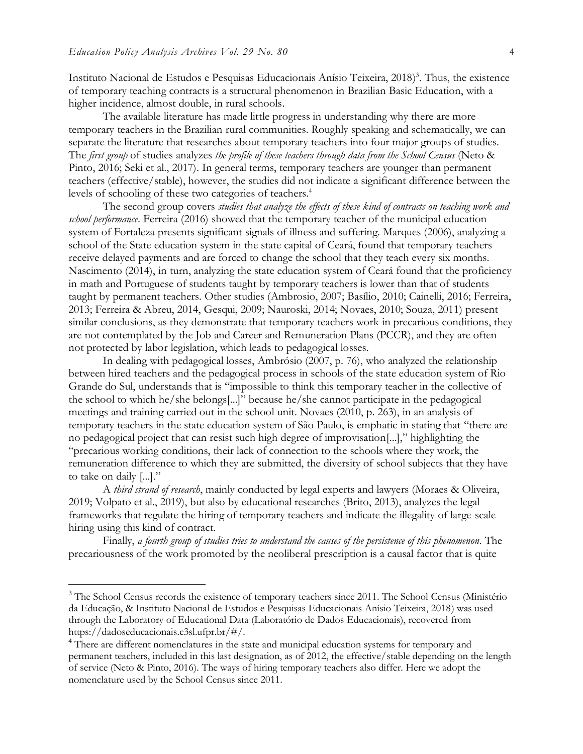$\overline{a}$ 

Instituto Nacional de Estudos e Pesquisas Educacionais Anísio Teixeira, 2018) 3 . Thus, the existence of temporary teaching contracts is a structural phenomenon in Brazilian Basic Education, with a higher incidence, almost double, in rural schools.

The available literature has made little progress in understanding why there are more temporary teachers in the Brazilian rural communities. Roughly speaking and schematically, we can separate the literature that researches about temporary teachers into four major groups of studies. The *first group* of studies analyzes *the profile of these teachers through data from the School Census* (Neto & Pinto, 2016; Seki et al., 2017). In general terms, temporary teachers are younger than permanent teachers (effective/stable), however, the studies did not indicate a significant difference between the levels of schooling of these two categories of teachers. 4

The second group covers *studies that analyze the effects of these kind of contracts on teaching work and school performance*. Ferreira (2016) showed that the temporary teacher of the municipal education system of Fortaleza presents significant signals of illness and suffering. Marques (2006), analyzing a school of the State education system in the state capital of Ceará, found that temporary teachers receive delayed payments and are forced to change the school that they teach every six months. Nascimento (2014), in turn, analyzing the state education system of Ceará found that the proficiency in math and Portuguese of students taught by temporary teachers is lower than that of students taught by permanent teachers. Other studies (Ambrosio, 2007; Basílio, 2010; Cainelli, 2016; Ferreira, 2013; Ferreira & Abreu, 2014, Gesqui, 2009; Nauroski, 2014; Novaes, 2010; Souza, 2011) present similar conclusions, as they demonstrate that temporary teachers work in precarious conditions, they are not contemplated by the Job and Career and Remuneration Plans (PCCR), and they are often not protected by labor legislation, which leads to pedagogical losses.

In dealing with pedagogical losses, Ambrósio (2007, p. 76), who analyzed the relationship between hired teachers and the pedagogical process in schools of the state education system of Rio Grande do Sul, understands that is "impossible to think this temporary teacher in the collective of the school to which he/she belongs[...]" because he/she cannot participate in the pedagogical meetings and training carried out in the school unit. Novaes (2010, p. 263), in an analysis of temporary teachers in the state education system of São Paulo, is emphatic in stating that "there are no pedagogical project that can resist such high degree of improvisation[...]," highlighting the "precarious working conditions, their lack of connection to the schools where they work, the remuneration difference to which they are submitted, the diversity of school subjects that they have to take on daily [...]."

A *third strand of research*, mainly conducted by legal experts and lawyers (Moraes & Oliveira, 2019; Volpato et al., 2019), but also by educational researches (Brito, 2013), analyzes the legal frameworks that regulate the hiring of temporary teachers and indicate the illegality of large-scale hiring using this kind of contract.

Finally, *a fourth group of studies tries to understand the causes of the persistence of this phenomenon*. The precariousness of the work promoted by the neoliberal prescription is a causal factor that is quite

<sup>&</sup>lt;sup>3</sup> The School Census records the existence of temporary teachers since 2011. The School Census (Ministério da Educação, & Instituto Nacional de Estudos e Pesquisas Educacionais Anísio Teixeira, 2018) was used through the Laboratory of Educational Data (Laboratório de Dados Educacionais), recovered from https://dadoseducacionais.c3sl.ufpr.br/#/.

<sup>&</sup>lt;sup>4</sup> There are different nomenclatures in the state and municipal education systems for temporary and permanent teachers, included in this last designation, as of 2012, the effective/stable depending on the length of service (Neto & Pinto, 2016). The ways of hiring temporary teachers also differ. Here we adopt the nomenclature used by the School Census since 2011.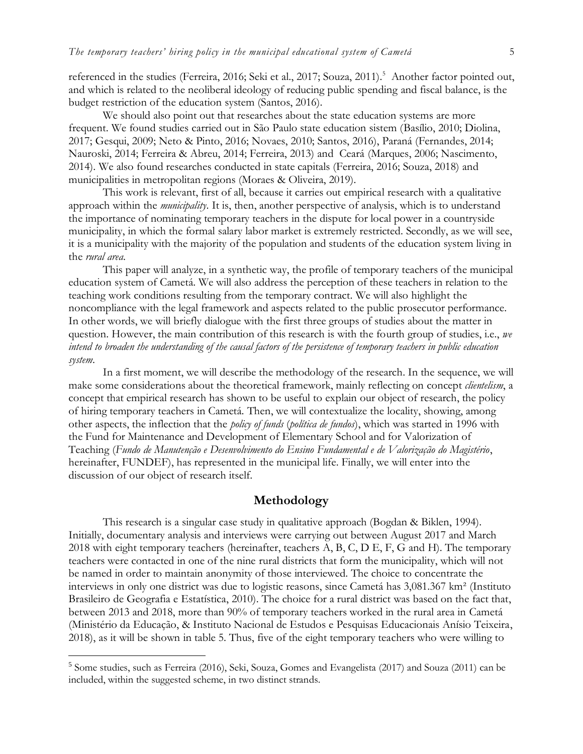referenced in the studies (Ferreira, 2016; Seki et al., 2017; Souza, 2011).<sup>5</sup> Another factor pointed out, and which is related to the neoliberal ideology of reducing public spending and fiscal balance, is the budget restriction of the education system (Santos, 2016).

We should also point out that researches about the state education systems are more frequent. We found studies carried out in São Paulo state education sistem (Basílio, 2010; Diolina, 2017; Gesqui, 2009; Neto & Pinto, 2016; Novaes, 2010; Santos, 2016), Paraná (Fernandes, 2014; Nauroski, 2014; Ferreira & Abreu, 2014; Ferreira, 2013) and Ceará (Marques, 2006; Nascimento, 2014). We also found researches conducted in state capitals (Ferreira, 2016; Souza, 2018) and municipalities in metropolitan regions (Moraes & Oliveira, 2019).

This work is relevant, first of all, because it carries out empirical research with a qualitative approach within the *municipality*. It is, then, another perspective of analysis, which is to understand the importance of nominating temporary teachers in the dispute for local power in a countryside municipality, in which the formal salary labor market is extremely restricted. Secondly, as we will see, it is a municipality with the majority of the population and students of the education system living in the *rural area*.

This paper will analyze, in a synthetic way, the profile of temporary teachers of the municipal education system of Cametá. We will also address the perception of these teachers in relation to the teaching work conditions resulting from the temporary contract. We will also highlight the noncompliance with the legal framework and aspects related to the public prosecutor performance. In other words, we will briefly dialogue with the first three groups of studies about the matter in question. However, the main contribution of this research is with the fourth group of studies, i.e., *we intend to broaden the understanding of the causal factors of the persistence of temporary teachers in public education system*.

In a first moment, we will describe the methodology of the research. In the sequence, we will make some considerations about the theoretical framework, mainly reflecting on concept *clientelism*, a concept that empirical research has shown to be useful to explain our object of research, the policy of hiring temporary teachers in Cametá. Then, we will contextualize the locality, showing, among other aspects, the inflection that the *policy of funds* (*política de fundos*), which was started in 1996 with the Fund for Maintenance and Development of Elementary School and for Valorization of Teaching (*Fundo de Manutenção e Desenvolvimento do Ensino Fundamental e de Valorização do Magistério*, hereinafter, FUNDEF), has represented in the municipal life. Finally, we will enter into the discussion of our object of research itself.

#### **Methodology**

This research is a singular case study in qualitative approach (Bogdan & Biklen, 1994). Initially, documentary analysis and interviews were carrying out between August 2017 and March 2018 with eight temporary teachers (hereinafter, teachers A, B, C, D E, F, G and H). The temporary teachers were contacted in one of the nine rural districts that form the municipality, which will not be named in order to maintain anonymity of those interviewed. The choice to concentrate the interviews in only one district was due to logistic reasons, since Cametá has 3,081.367 km² (Instituto Brasileiro de Geografia e Estatística, 2010). The choice for a rural district was based on the fact that, between 2013 and 2018, more than 90% of temporary teachers worked in the rural area in Cametá (Ministério da Educação, & Instituto Nacional de Estudos e Pesquisas Educacionais Anísio Teixeira, 2018), as it will be shown in table 5. Thus, five of the eight temporary teachers who were willing to

<sup>&</sup>lt;sup>5</sup> Some studies, such as Ferreira (2016), Seki, Souza, Gomes and Evangelista (2017) and Souza (2011) can be included, within the suggested scheme, in two distinct strands.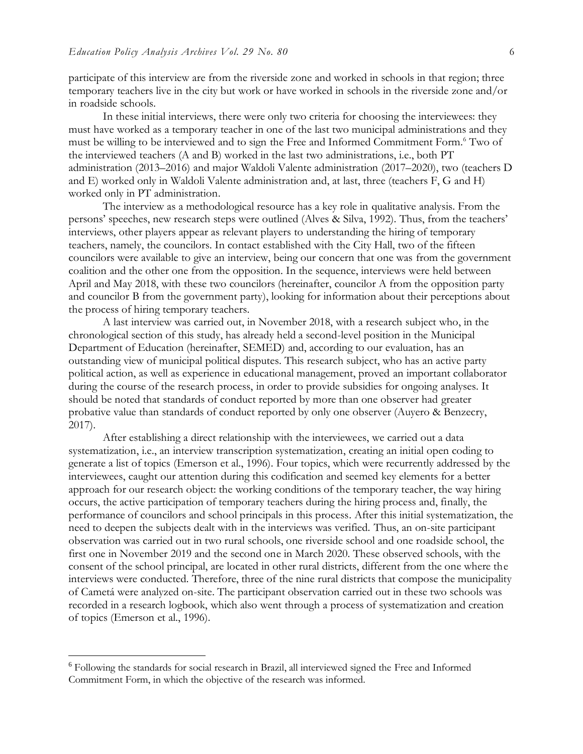participate of this interview are from the riverside zone and worked in schools in that region; three temporary teachers live in the city but work or have worked in schools in the riverside zone and/or in roadside schools.

In these initial interviews, there were only two criteria for choosing the interviewees: they must have worked as a temporary teacher in one of the last two municipal administrations and they must be willing to be interviewed and to sign the Free and Informed Commitment Form.<sup>6</sup> Two of the interviewed teachers (A and B) worked in the last two administrations, i.e., both PT administration (2013–2016) and major Waldoli Valente administration (2017–2020), two (teachers D and E) worked only in Waldoli Valente administration and, at last, three (teachers F, G and H) worked only in PT administration.

The interview as a methodological resource has a key role in qualitative analysis. From the persons' speeches, new research steps were outlined (Alves & Silva, 1992). Thus, from the teachers' interviews, other players appear as relevant players to understanding the hiring of temporary teachers, namely, the councilors. In contact established with the City Hall, two of the fifteen councilors were available to give an interview, being our concern that one was from the government coalition and the other one from the opposition. In the sequence, interviews were held between April and May 2018, with these two councilors (hereinafter, councilor A from the opposition party and councilor B from the government party), looking for information about their perceptions about the process of hiring temporary teachers.

A last interview was carried out, in November 2018, with a research subject who, in the chronological section of this study, has already held a second-level position in the Municipal Department of Education (hereinafter, SEMED) and, according to our evaluation, has an outstanding view of municipal political disputes. This research subject, who has an active party political action, as well as experience in educational management, proved an important collaborator during the course of the research process, in order to provide subsidies for ongoing analyses. It should be noted that standards of conduct reported by more than one observer had greater probative value than standards of conduct reported by only one observer (Auyero & Benzecry, 2017).

After establishing a direct relationship with the interviewees, we carried out a data systematization, i.e., an interview transcription systematization, creating an initial open coding to generate a list of topics (Emerson et al., 1996). Four topics, which were recurrently addressed by the interviewees, caught our attention during this codification and seemed key elements for a better approach for our research object: the working conditions of the temporary teacher, the way hiring occurs, the active participation of temporary teachers during the hiring process and, finally, the performance of councilors and school principals in this process. After this initial systematization, the need to deepen the subjects dealt with in the interviews was verified. Thus, an on-site participant observation was carried out in two rural schools, one riverside school and one roadside school, the first one in November 2019 and the second one in March 2020. These observed schools, with the consent of the school principal, are located in other rural districts, different from the one where the interviews were conducted. Therefore, three of the nine rural districts that compose the municipality of Cametá were analyzed on-site. The participant observation carried out in these two schools was recorded in a research logbook, which also went through a process of systematization and creation of topics (Emerson et al., 1996).

<sup>6</sup> Following the standards for social research in Brazil, all interviewed signed the Free and Informed Commitment Form, in which the objective of the research was informed.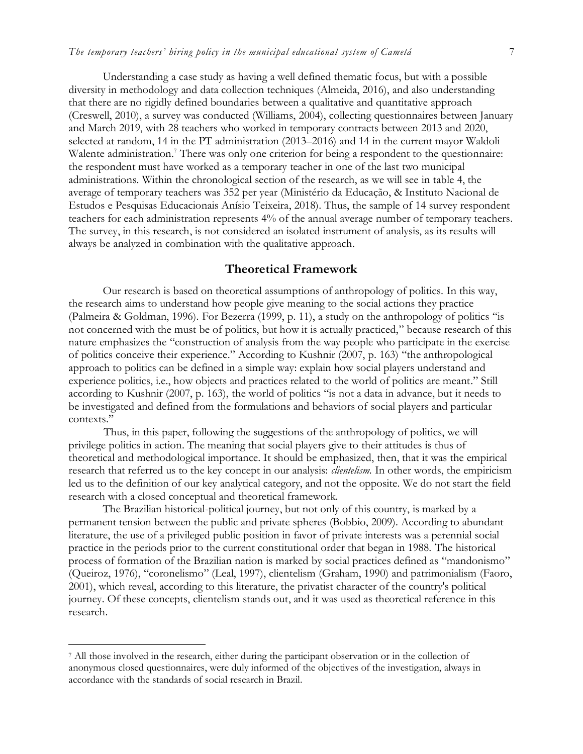Understanding a case study as having a well defined thematic focus, but with a possible diversity in methodology and data collection techniques (Almeida, 2016), and also understanding that there are no rigidly defined boundaries between a qualitative and quantitative approach (Creswell, 2010), a survey was conducted (Williams, 2004), collecting questionnaires between January and March 2019, with 28 teachers who worked in temporary contracts between 2013 and 2020, selected at random, 14 in the PT administration (2013–2016) and 14 in the current mayor Waldoli Walente administration.<sup>7</sup> There was only one criterion for being a respondent to the questionnaire: the respondent must have worked as a temporary teacher in one of the last two municipal administrations. Within the chronological section of the research, as we will see in table 4, the average of temporary teachers was 352 per year (Ministério da Educação, & Instituto Nacional de Estudos e Pesquisas Educacionais Anísio Teixeira, 2018). Thus, the sample of 14 survey respondent teachers for each administration represents 4% of the annual average number of temporary teachers. The survey, in this research, is not considered an isolated instrument of analysis, as its results will always be analyzed in combination with the qualitative approach.

#### **Theoretical Framework**

Our research is based on theoretical assumptions of anthropology of politics. In this way, the research aims to understand how people give meaning to the social actions they practice (Palmeira & Goldman, 1996). For Bezerra (1999, p. 11), a study on the anthropology of politics "is not concerned with the must be of politics, but how it is actually practiced," because research of this nature emphasizes the "construction of analysis from the way people who participate in the exercise of politics conceive their experience." According to Kushnir (2007, p. 163) "the anthropological approach to politics can be defined in a simple way: explain how social players understand and experience politics, i.e., how objects and practices related to the world of politics are meant." Still according to Kushnir (2007, p. 163), the world of politics "is not a data in advance, but it needs to be investigated and defined from the formulations and behaviors of social players and particular contexts."

Thus, in this paper, following the suggestions of the anthropology of politics, we will privilege politics in action. The meaning that social players give to their attitudes is thus of theoretical and methodological importance. It should be emphasized, then, that it was the empirical research that referred us to the key concept in our analysis: *clientelism.* In other words, the empiricism led us to the definition of our key analytical category, and not the opposite. We do not start the field research with a closed conceptual and theoretical framework.

The Brazilian historical-political journey, but not only of this country, is marked by a permanent tension between the public and private spheres (Bobbio, 2009). According to abundant literature, the use of a privileged public position in favor of private interests was a perennial social practice in the periods prior to the current constitutional order that began in 1988. The historical process of formation of the Brazilian nation is marked by social practices defined as "mandonismo" (Queiroz, 1976), "coronelismo" (Leal, 1997), clientelism (Graham, 1990) and patrimonialism (Faoro, 2001), which reveal, according to this literature, the privatist character of the country's political journey. Of these concepts, clientelism stands out, and it was used as theoretical reference in this research.

<sup>7</sup> All those involved in the research, either during the participant observation or in the collection of anonymous closed questionnaires, were duly informed of the objectives of the investigation, always in accordance with the standards of social research in Brazil.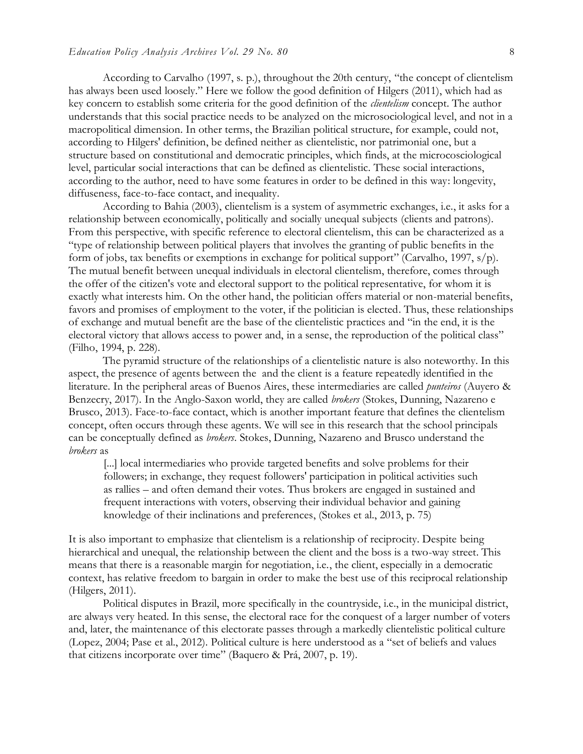According to Carvalho (1997, s. p.), throughout the 20th century, "the concept of clientelism has always been used loosely." Here we follow the good definition of Hilgers (2011), which had as key concern to establish some criteria for the good definition of the *clientelism* concept. The author understands that this social practice needs to be analyzed on the microsociological level, and not in a macropolitical dimension. In other terms, the Brazilian political structure, for example, could not, according to Hilgers' definition, be defined neither as clientelistic, nor patrimonial one, but a structure based on constitutional and democratic principles, which finds, at the microcosciological level, particular social interactions that can be defined as clientelistic. These social interactions, according to the author, need to have some features in order to be defined in this way: longevity, diffuseness, face-to-face contact, and inequality.

According to Bahia (2003), clientelism is a system of asymmetric exchanges, i.e., it asks for a relationship between economically, politically and socially unequal subjects (clients and patrons). From this perspective, with specific reference to electoral clientelism, this can be characterized as a "type of relationship between political players that involves the granting of public benefits in the form of jobs, tax benefits or exemptions in exchange for political support" (Carvalho, 1997,  $s/p$ ). The mutual benefit between unequal individuals in electoral clientelism, therefore, comes through the offer of the citizen's vote and electoral support to the political representative, for whom it is exactly what interests him. On the other hand, the politician offers material or non-material benefits, favors and promises of employment to the voter, if the politician is elected. Thus, these relationships of exchange and mutual benefit are the base of the clientelistic practices and "in the end, it is the electoral victory that allows access to power and, in a sense, the reproduction of the political class" (Filho, 1994, p. 228).

The pyramid structure of the relationships of a clientelistic nature is also noteworthy. In this aspect, the presence of agents between the and the client is a feature repeatedly identified in the literature. In the peripheral areas of Buenos Aires, these intermediaries are called *punteiros* (Auyero & Benzecry, 2017). In the Anglo-Saxon world, they are called *brokers* (Stokes, Dunning, Nazareno e Brusco, 2013). Face-to-face contact, which is another important feature that defines the clientelism concept, often occurs through these agents. We will see in this research that the school principals can be conceptually defined as *brokers*. Stokes, Dunning, Nazareno and Brusco understand the *brokers* as

[...] local intermediaries who provide targeted benefits and solve problems for their followers; in exchange, they request followers' participation in political activities such as rallies – and often demand their votes. Thus brokers are engaged in sustained and frequent interactions with voters, observing their individual behavior and gaining knowledge of their inclinations and preferences, (Stokes et al., 2013, p. 75)

It is also important to emphasize that clientelism is a relationship of reciprocity. Despite being hierarchical and unequal, the relationship between the client and the boss is a two-way street. This means that there is a reasonable margin for negotiation, i.e., the client, especially in a democratic context, has relative freedom to bargain in order to make the best use of this reciprocal relationship (Hilgers, 2011).

Political disputes in Brazil, more specifically in the countryside, i.e., in the municipal district, are always very heated. In this sense, the electoral race for the conquest of a larger number of voters and, later, the maintenance of this electorate passes through a markedly clientelistic political culture (Lopez, 2004; Pase et al., 2012). Political culture is here understood as a "set of beliefs and values that citizens incorporate over time" (Baquero & Prá, 2007, p. 19).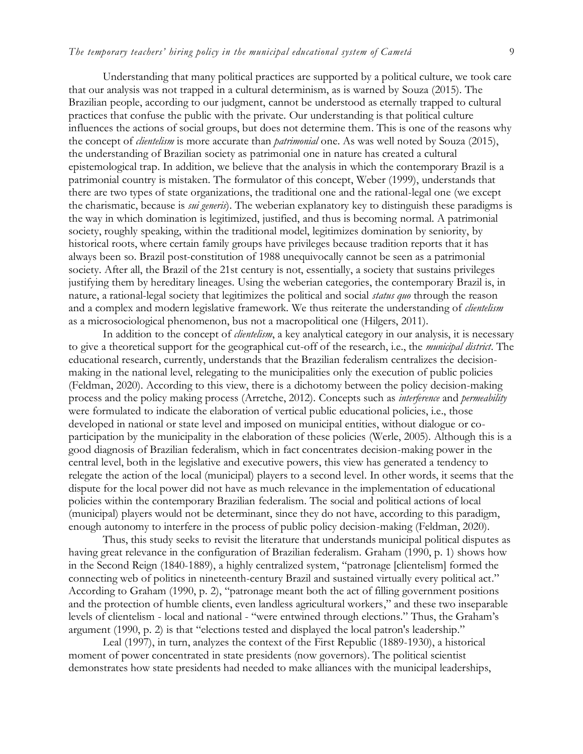Understanding that many political practices are supported by a political culture, we took care that our analysis was not trapped in a cultural determinism, as is warned by Souza (2015). The Brazilian people, according to our judgment, cannot be understood as eternally trapped to cultural practices that confuse the public with the private. Our understanding is that political culture influences the actions of social groups, but does not determine them. This is one of the reasons why the concept of *clientelism* is more accurate than *patrimonial* one. As was well noted by Souza (2015), the understanding of Brazilian society as patrimonial one in nature has created a cultural epistemological trap. In addition, we believe that the analysis in which the contemporary Brazil is a patrimonial country is mistaken. The formulator of this concept, Weber (1999), understands that there are two types of state organizations, the traditional one and the rational-legal one (we except the charismatic, because is *sui generis*). The weberian explanatory key to distinguish these paradigms is the way in which domination is legitimized, justified, and thus is becoming normal. A patrimonial society, roughly speaking, within the traditional model, legitimizes domination by seniority, by historical roots, where certain family groups have privileges because tradition reports that it has always been so. Brazil post-constitution of 1988 unequivocally cannot be seen as a patrimonial society. After all, the Brazil of the 21st century is not, essentially, a society that sustains privileges justifying them by hereditary lineages. Using the weberian categories, the contemporary Brazil is, in nature, a rational-legal society that legitimizes the political and social *status quo* through the reason and a complex and modern legislative framework. We thus reiterate the understanding of *clientelism*  as a microsociological phenomenon, bus not a macropolitical one (Hilgers, 2011).

In addition to the concept of *clientelism*, a key analytical category in our analysis, it is necessary to give a theoretical support for the geographical cut-off of the research, i.e., the *municipal district*. The educational research, currently, understands that the Brazilian federalism centralizes the decisionmaking in the national level, relegating to the municipalities only the execution of public policies (Feldman, 2020). According to this view, there is a dichotomy between the policy decision-making process and the policy making process (Arretche, 2012). Concepts such as *interference* and *permeability* were formulated to indicate the elaboration of vertical public educational policies, i.e., those developed in national or state level and imposed on municipal entities, without dialogue or coparticipation by the municipality in the elaboration of these policies (Werle, 2005). Although this is a good diagnosis of Brazilian federalism, which in fact concentrates decision-making power in the central level, both in the legislative and executive powers, this view has generated a tendency to relegate the action of the local (municipal) players to a second level. In other words, it seems that the dispute for the local power did not have as much relevance in the implementation of educational policies within the contemporary Brazilian federalism. The social and political actions of local (municipal) players would not be determinant, since they do not have, according to this paradigm, enough autonomy to interfere in the process of public policy decision-making (Feldman, 2020).

Thus, this study seeks to revisit the literature that understands municipal political disputes as having great relevance in the configuration of Brazilian federalism. Graham (1990, p. 1) shows how in the Second Reign (1840-1889), a highly centralized system, "patronage [clientelism] formed the connecting web of politics in nineteenth-century Brazil and sustained virtually every political act." According to Graham (1990, p. 2), "patronage meant both the act of filling government positions and the protection of humble clients, even landless agricultural workers," and these two inseparable levels of clientelism - local and national - "were entwined through elections." Thus, the Graham's argument (1990, p. 2) is that "elections tested and displayed the local patron's leadership."

Leal (1997), in turn, analyzes the context of the First Republic (1889-1930), a historical moment of power concentrated in state presidents (now governors). The political scientist demonstrates how state presidents had needed to make alliances with the municipal leaderships,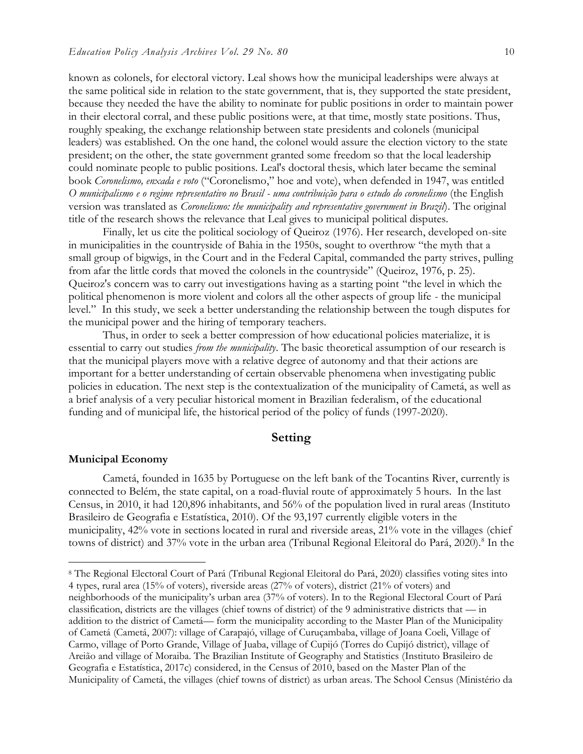known as colonels, for electoral victory. Leal shows how the municipal leaderships were always at the same political side in relation to the state government, that is, they supported the state president, because they needed the have the ability to nominate for public positions in order to maintain power in their electoral corral, and these public positions were, at that time, mostly state positions. Thus, roughly speaking, the exchange relationship between state presidents and colonels (municipal leaders) was established. On the one hand, the colonel would assure the election victory to the state president; on the other, the state government granted some freedom so that the local leadership could nominate people to public positions. Leal's doctoral thesis, which later became the seminal book *Coronelismo, enxada e voto* ("Coronelismo," hoe and vote), when defended in 1947, was entitled *O municipalismo e o regime representativo no Brasil - uma contribuição para o estudo do coronelismo* (the English version was translated as *Coronelismo: the municipality and representative government in Brazil*). The original title of the research shows the relevance that Leal gives to municipal political disputes.

Finally, let us cite the political sociology of Queiroz (1976). Her research, developed on-site in municipalities in the countryside of Bahia in the 1950s, sought to overthrow "the myth that a small group of bigwigs, in the Court and in the Federal Capital, commanded the party strives, pulling from afar the little cords that moved the colonels in the countryside" (Queiroz, 1976, p. 25). Queiroz's concern was to carry out investigations having as a starting point "the level in which the political phenomenon is more violent and colors all the other aspects of group life - the municipal level." In this study, we seek a better understanding the relationship between the tough disputes for the municipal power and the hiring of temporary teachers.

Thus, in order to seek a better compression of how educational policies materialize, it is essential to carry out studies *from the municipality*. The basic theoretical assumption of our research is that the municipal players move with a relative degree of autonomy and that their actions are important for a better understanding of certain observable phenomena when investigating public policies in education. The next step is the contextualization of the municipality of Cametá, as well as a brief analysis of a very peculiar historical moment in Brazilian federalism, of the educational funding and of municipal life, the historical period of the policy of funds (1997-2020).

# **Setting**

#### **Municipal Economy**

 $\overline{a}$ 

Cametá, founded in 1635 by Portuguese on the left bank of the Tocantins River, currently is connected to Belém, the state capital, on a road-fluvial route of approximately 5 hours. In the last Census, in 2010, it had 120,896 inhabitants, and 56% of the population lived in rural areas (Instituto Brasileiro de Geografia e Estatística, 2010). Of the 93,197 currently eligible voters in the municipality, 42% vote in sections located in rural and riverside areas, 21% vote in the villages (chief towns of district) and 37% vote in the urban area (Tribunal Regional Eleitoral do Pará, 2020).<sup>8</sup> In the

<sup>8</sup> The Regional Electoral Court of Pará (Tribunal Regional Eleitoral do Pará, 2020) classifies voting sites into 4 types, rural area (15% of voters), riverside areas (27% of voters), district (21% of voters) and neighborhoods of the municipality's urban area (37% of voters). In to the Regional Electoral Court of Pará classification, districts are the villages (chief towns of district) of the 9 administrative districts that — in addition to the district of Cametá— form the municipality according to the Master Plan of the Municipality of Cametá (Cametá, 2007): village of Carapajó, village of Curuçambaba, village of Joana Coeli, Village of Carmo, village of Porto Grande, Village of Juaba, village of Cupijó (Torres do Cupijó district), village of Areião and village of Moraiba. The Brazilian Institute of Geography and Statistics (Instituto Brasileiro de Geografia e Estatística, 2017c) considered, in the Census of 2010, based on the Master Plan of the Municipality of Cametá, the villages (chief towns of district) as urban areas. The School Census (Ministério da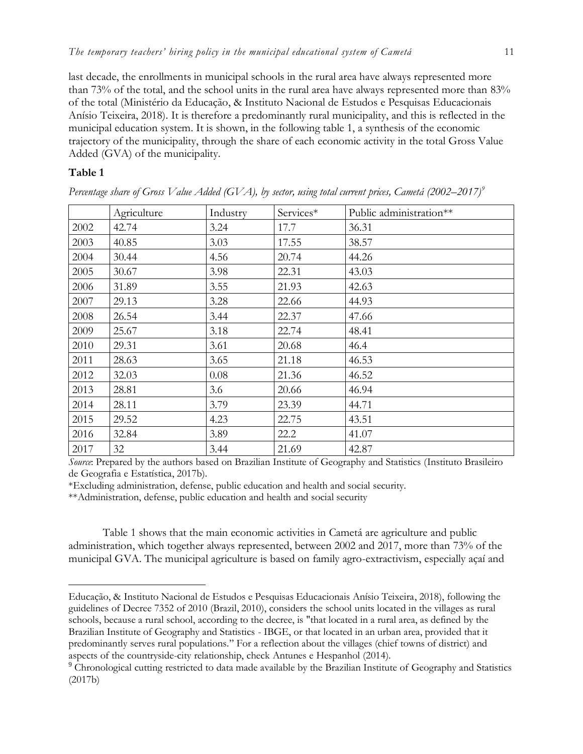last decade, the enrollments in municipal schools in the rural area have always represented more than 73% of the total, and the school units in the rural area have always represented more than 83% of the total (Ministério da Educação, & Instituto Nacional de Estudos e Pesquisas Educacionais Anísio Teixeira, 2018). It is therefore a predominantly rural municipality, and this is reflected in the municipal education system. It is shown, in the following table 1, a synthesis of the economic trajectory of the municipality, through the share of each economic activity in the total Gross Value Added (GVA) of the municipality.

# **Table 1**

 $\overline{a}$ 

|      | Agriculture | Industry | Services* | Public administration** |
|------|-------------|----------|-----------|-------------------------|
| 2002 | 42.74       | 3.24     | 17.7      | 36.31                   |
| 2003 | 40.85       | 3.03     | 17.55     | 38.57                   |
| 2004 | 30.44       | 4.56     | 20.74     | 44.26                   |
| 2005 | 30.67       | 3.98     | 22.31     | 43.03                   |
| 2006 | 31.89       | 3.55     | 21.93     | 42.63                   |
| 2007 | 29.13       | 3.28     | 22.66     | 44.93                   |
| 2008 | 26.54       | 3.44     | 22.37     | 47.66                   |
| 2009 | 25.67       | 3.18     | 22.74     | 48.41                   |
| 2010 | 29.31       | 3.61     | 20.68     | 46.4                    |
| 2011 | 28.63       | 3.65     | 21.18     | 46.53                   |
| 2012 | 32.03       | 0.08     | 21.36     | 46.52                   |
| 2013 | 28.81       | 3.6      | 20.66     | 46.94                   |
| 2014 | 28.11       | 3.79     | 23.39     | 44.71                   |
| 2015 | 29.52       | 4.23     | 22.75     | 43.51                   |
| 2016 | 32.84       | 3.89     | 22.2      | 41.07                   |
| 2017 | 32          | 3.44     | 21.69     | 42.87                   |

*Percentage share of Gross Value Added (GVA), by sector, using total current prices, Cametá (2002–2017)<sup>9</sup>*

*Source*: Prepared by the authors based on Brazilian Institute of Geography and Statistics (Instituto Brasileiro de Geografia e Estatística, 2017b).

\*Excluding administration, defense, public education and health and social security.

\*\*Administration, defense, public education and health and social security

Table 1 shows that the main economic activities in Cametá are agriculture and public administration, which together always represented, between 2002 and 2017, more than 73% of the municipal GVA. The municipal agriculture is based on family agro-extractivism, especially açaí and

Educação, & Instituto Nacional de Estudos e Pesquisas Educacionais Anísio Teixeira, 2018), following the guidelines of Decree 7352 of 2010 (Brazil, 2010), considers the school units located in the villages as rural schools, because a rural school, according to the decree, is "that located in a rural area, as defined by the Brazilian Institute of Geography and Statistics - IBGE, or that located in an urban area, provided that it predominantly serves rural populations." For a reflection about the villages (chief towns of district) and aspects of the countryside-city relationship, check Antunes e Hespanhol (2014).

<sup>&</sup>lt;sup>9</sup> Chronological cutting restricted to data made available by the Brazilian Institute of Geography and Statistics (2017b)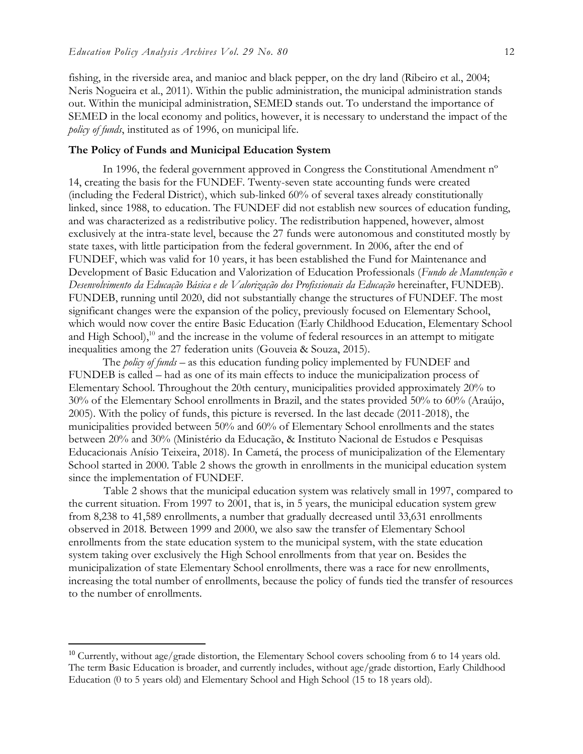fishing, in the riverside area, and manioc and black pepper, on the dry land (Ribeiro et al., 2004; Neris Nogueira et al., 2011). Within the public administration, the municipal administration stands out. Within the municipal administration, SEMED stands out. To understand the importance of SEMED in the local economy and politics, however, it is necessary to understand the impact of the *policy of funds*, instituted as of 1996, on municipal life.

#### **The Policy of Funds and Municipal Education System**

In 1996, the federal government approved in Congress the Constitutional Amendment n° 14, creating the basis for the FUNDEF. Twenty-seven state accounting funds were created (including the Federal District), which sub-linked 60% of several taxes already constitutionally linked, since 1988, to education. The FUNDEF did not establish new sources of education funding, and was characterized as a redistributive policy. The redistribution happened, however, almost exclusively at the intra-state level, because the 27 funds were autonomous and constituted mostly by state taxes, with little participation from the federal government. In 2006, after the end of FUNDEF, which was valid for 10 years, it has been established the Fund for Maintenance and Development of Basic Education and Valorization of Education Professionals (*Fundo de Manutenção e Desenvolvimento da Educação Básica e de Valorização dos Profissionais da Educação* hereinafter, FUNDEB). FUNDEB, running until 2020, did not substantially change the structures of FUNDEF. The most significant changes were the expansion of the policy, previously focused on Elementary School, which would now cover the entire Basic Education (Early Childhood Education, Elementary School and High School),<sup>10</sup> and the increase in the volume of federal resources in an attempt to mitigate inequalities among the 27 federation units (Gouveia & Souza, 2015).

The *policy of funds* – as this education funding policy implemented by FUNDEF and FUNDEB is called – had as one of its main effects to induce the municipalization process of Elementary School. Throughout the 20th century, municipalities provided approximately 20% to 30% of the Elementary School enrollments in Brazil, and the states provided 50% to 60% (Araújo, 2005). With the policy of funds, this picture is reversed. In the last decade (2011-2018), the municipalities provided between 50% and 60% of Elementary School enrollments and the states between 20% and 30% (Ministério da Educação, & Instituto Nacional de Estudos e Pesquisas Educacionais Anísio Teixeira, 2018). In Cametá, the process of municipalization of the Elementary School started in 2000. Table 2 shows the growth in enrollments in the municipal education system since the implementation of FUNDEF.

Table 2 shows that the municipal education system was relatively small in 1997, compared to the current situation. From 1997 to 2001, that is, in 5 years, the municipal education system grew from 8,238 to 41,589 enrollments, a number that gradually decreased until 33,631 enrollments observed in 2018. Between 1999 and 2000, we also saw the transfer of Elementary School enrollments from the state education system to the municipal system, with the state education system taking over exclusively the High School enrollments from that year on. Besides the municipalization of state Elementary School enrollments, there was a race for new enrollments, increasing the total number of enrollments, because the policy of funds tied the transfer of resources to the number of enrollments.

<sup>&</sup>lt;sup>10</sup> Currently, without age/grade distortion, the Elementary School covers schooling from 6 to 14 years old. The term Basic Education is broader, and currently includes, without age/grade distortion, Early Childhood Education (0 to 5 years old) and Elementary School and High School (15 to 18 years old).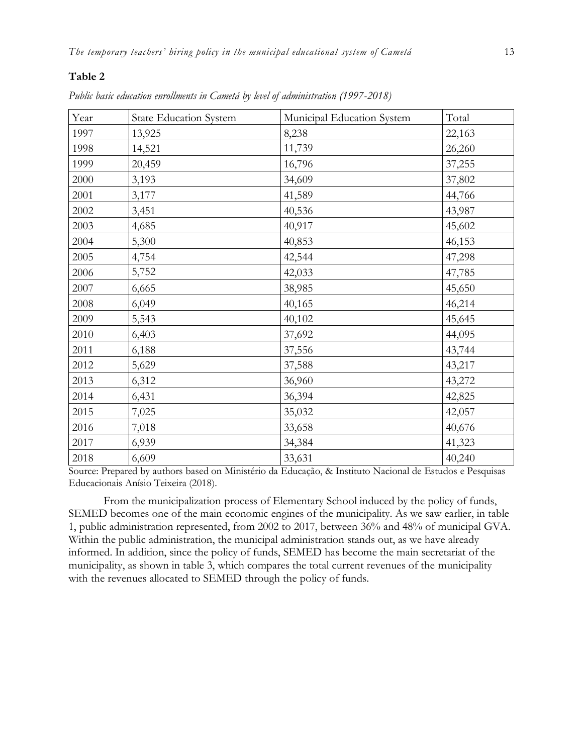### **Table 2**

| Year | <b>State Education System</b> | Municipal Education System | Total  |
|------|-------------------------------|----------------------------|--------|
| 1997 | 13,925                        | 8,238                      | 22,163 |
| 1998 | 14,521                        | 11,739                     | 26,260 |
| 1999 | 20,459                        | 16,796                     | 37,255 |
| 2000 | 3,193                         | 34,609                     | 37,802 |
| 2001 | 3,177                         | 41,589                     | 44,766 |
| 2002 | 3,451                         | 40,536                     | 43,987 |
| 2003 | 4,685                         | 40,917                     | 45,602 |
| 2004 | 5,300                         | 40,853                     | 46,153 |
| 2005 | 4,754                         | 42,544                     | 47,298 |
| 2006 | 5,752                         | 42,033                     | 47,785 |
| 2007 | 6,665                         | 38,985                     | 45,650 |
| 2008 | 6,049                         | 40,165                     | 46,214 |
| 2009 | 5,543                         | 40,102                     | 45,645 |
| 2010 | 6,403                         | 37,692                     | 44,095 |
| 2011 | 6,188                         | 37,556                     | 43,744 |
| 2012 | 5,629                         | 37,588                     | 43,217 |
| 2013 | 6,312                         | 36,960                     | 43,272 |
| 2014 | 6,431                         | 36,394                     | 42,825 |
| 2015 | 7,025                         | 35,032                     | 42,057 |
| 2016 | 7,018                         | 33,658                     | 40,676 |
| 2017 | 6,939                         | 34,384                     | 41,323 |
| 2018 | 6,609                         | 33,631                     | 40,240 |

*Public basic education enrollments in Cametá by level of administration (1997-2018)*

Source: Prepared by authors based on Ministério da Educação, & Instituto Nacional de Estudos e Pesquisas Educacionais Anísio Teixeira (2018).

From the municipalization process of Elementary School induced by the policy of funds, SEMED becomes one of the main economic engines of the municipality. As we saw earlier, in table 1, public administration represented, from 2002 to 2017, between 36% and 48% of municipal GVA. Within the public administration, the municipal administration stands out, as we have already informed. In addition, since the policy of funds, SEMED has become the main secretariat of the municipality, as shown in table 3, which compares the total current revenues of the municipality with the revenues allocated to SEMED through the policy of funds.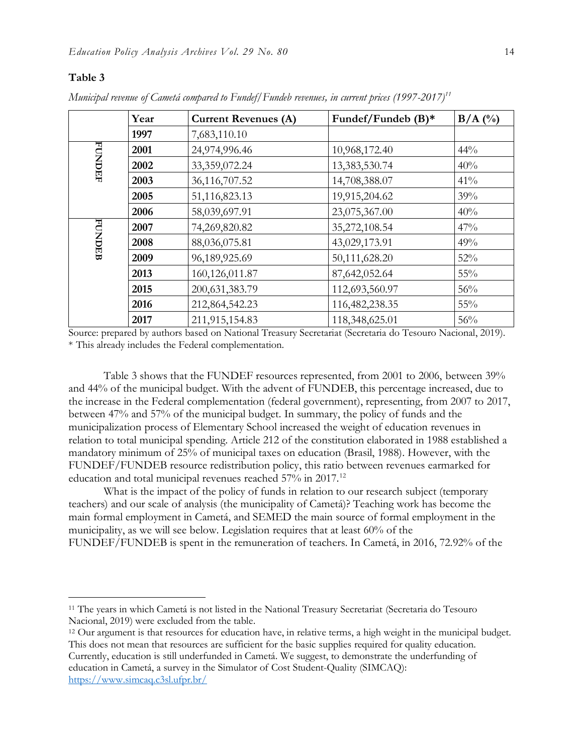# **Table 3**

|               | Year | <b>Current Revenues (A)</b> | Fundef/Fundeb (B)* | $B/A$ (%) |
|---------------|------|-----------------------------|--------------------|-----------|
|               | 1997 | 7,683,110.10                |                    |           |
|               | 2001 | 24,974,996.46               | 10,968,172.40      | $44\%$    |
| <b>FUNDEF</b> | 2002 | 33,359,072.24               | 13,383,530.74      | 40%       |
|               | 2003 | 36,116,707.52               | 14,708,388.07      | 41%       |
|               | 2005 | 51,116,823.13               | 19,915,204.62      | 39%       |
|               | 2006 | 58,039,697.91               | 23,075,367.00      | 40%       |
|               | 2007 | 74,269,820.82               | 35,272,108.54      | 47%       |
| <b>FUNDEB</b> | 2008 | 88,036,075.81               | 43,029,173.91      | 49%       |
|               | 2009 | 96,189,925.69               | 50,111,628.20      | 52%       |
|               | 2013 | 160,126,011.87              | 87,642,052.64      | 55%       |
|               | 2015 | 200, 631, 383. 79           | 112,693,560.97     | 56%       |
|               | 2016 | 212,864,542.23              | 116,482,238.35     | 55%       |
|               | 2017 | 211,915,154.83              | 118,348,625.01     | 56%       |

*Municipal revenue of Cametá compared to Fundef/Fundeb revenues, in current prices (1997-2017)<sup>11</sup>*

Source: prepared by authors based on National Treasury Secretariat (Secretaria do Tesouro Nacional, 2019). \* This already includes the Federal complementation.

Table 3 shows that the FUNDEF resources represented, from 2001 to 2006, between 39% and 44% of the municipal budget. With the advent of FUNDEB, this percentage increased, due to the increase in the Federal complementation (federal government), representing, from 2007 to 2017, between 47% and 57% of the municipal budget. In summary, the policy of funds and the municipalization process of Elementary School increased the weight of education revenues in relation to total municipal spending. Article 212 of the constitution elaborated in 1988 established a mandatory minimum of 25% of municipal taxes on education (Brasil, 1988). However, with the FUNDEF/FUNDEB resource redistribution policy, this ratio between revenues earmarked for education and total municipal revenues reached 57% in 2017.<sup>12</sup>

What is the impact of the policy of funds in relation to our research subject (temporary teachers) and our scale of analysis (the municipality of Cametá)? Teaching work has become the main formal employment in Cametá, and SEMED the main source of formal employment in the municipality, as we will see below. Legislation requires that at least 60% of the FUNDEF/FUNDEB is spent in the remuneration of teachers. In Cametá, in 2016, 72.92% of the

<sup>12</sup> Our argument is that resources for education have, in relative terms, a high weight in the municipal budget. This does not mean that resources are sufficient for the basic supplies required for quality education. Currently, education is still underfunded in Cametá. We suggest, to demonstrate the underfunding of education in Cametá, a survey in the Simulator of Cost Student-Quality (SIMCAQ):

<https://www.simcaq.c3sl.ufpr.br/>

<sup>11</sup> The years in which Cametá is not listed in the National Treasury Secretariat (Secretaria do Tesouro Nacional, 2019) were excluded from the table.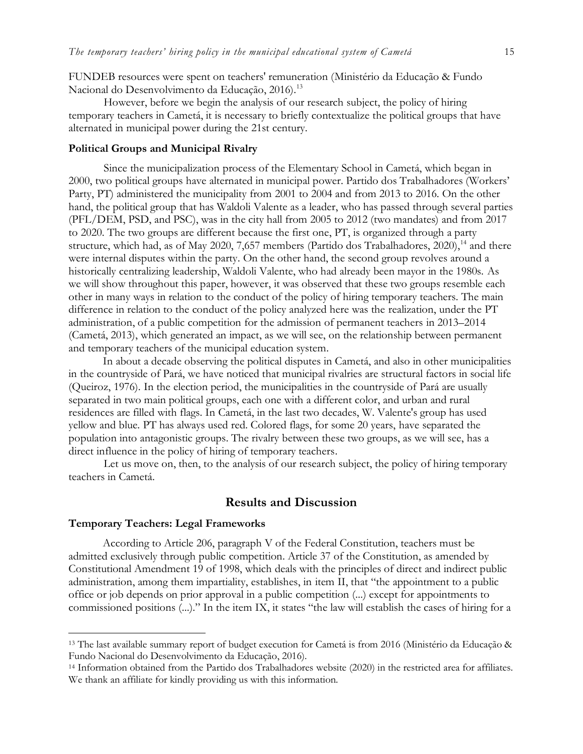FUNDEB resources were spent on teachers' remuneration (Ministério da Educação & Fundo Nacional do Desenvolvimento da Educação, 2016).<sup>13</sup>

However, before we begin the analysis of our research subject, the policy of hiring temporary teachers in Cametá, it is necessary to briefly contextualize the political groups that have alternated in municipal power during the 21st century.

#### **Political Groups and Municipal Rivalry**

Since the municipalization process of the Elementary School in Cametá, which began in 2000, two political groups have alternated in municipal power. Partido dos Trabalhadores (Workers' Party, PT) administered the municipality from 2001 to 2004 and from 2013 to 2016. On the other hand, the political group that has Waldoli Valente as a leader, who has passed through several parties (PFL/DEM, PSD, and PSC), was in the city hall from 2005 to 2012 (two mandates) and from 2017 to 2020. The two groups are different because the first one, PT, is organized through a party structure, which had, as of May 2020, 7,657 members (Partido dos Trabalhadores,  $2020$ ),<sup>14</sup> and there were internal disputes within the party. On the other hand, the second group revolves around a historically centralizing leadership, Waldoli Valente, who had already been mayor in the 1980s. As we will show throughout this paper, however, it was observed that these two groups resemble each other in many ways in relation to the conduct of the policy of hiring temporary teachers. The main difference in relation to the conduct of the policy analyzed here was the realization, under the PT administration, of a public competition for the admission of permanent teachers in 2013–2014 (Cametá, 2013), which generated an impact, as we will see, on the relationship between permanent and temporary teachers of the municipal education system.

In about a decade observing the political disputes in Cametá, and also in other municipalities in the countryside of Pará, we have noticed that municipal rivalries are structural factors in social life (Queiroz, 1976). In the election period, the municipalities in the countryside of Pará are usually separated in two main political groups, each one with a different color, and urban and rural residences are filled with flags. In Cametá, in the last two decades, W. Valente's group has used yellow and blue. PT has always used red. Colored flags, for some 20 years, have separated the population into antagonistic groups. The rivalry between these two groups, as we will see, has a direct influence in the policy of hiring of temporary teachers.

Let us move on, then, to the analysis of our research subject, the policy of hiring temporary teachers in Cametá.

# **Results and Discussion**

#### **Temporary Teachers: Legal Frameworks**

 $\overline{a}$ 

According to Article 206, paragraph V of the Federal Constitution, teachers must be admitted exclusively through public competition. Article 37 of the Constitution, as amended by Constitutional Amendment 19 of 1998, which deals with the principles of direct and indirect public administration, among them impartiality, establishes, in item II, that "the appointment to a public office or job depends on prior approval in a public competition (...) except for appointments to commissioned positions (...)." In the item IX, it states "the law will establish the cases of hiring for a

<sup>13</sup> The last available summary report of budget execution for Cametá is from 2016 (Ministério da Educação & Fundo Nacional do Desenvolvimento da Educação, 2016).

<sup>14</sup> Information obtained from the Partido dos Trabalhadores website (2020) in the restricted area for affiliates. We thank an affiliate for kindly providing us with this information.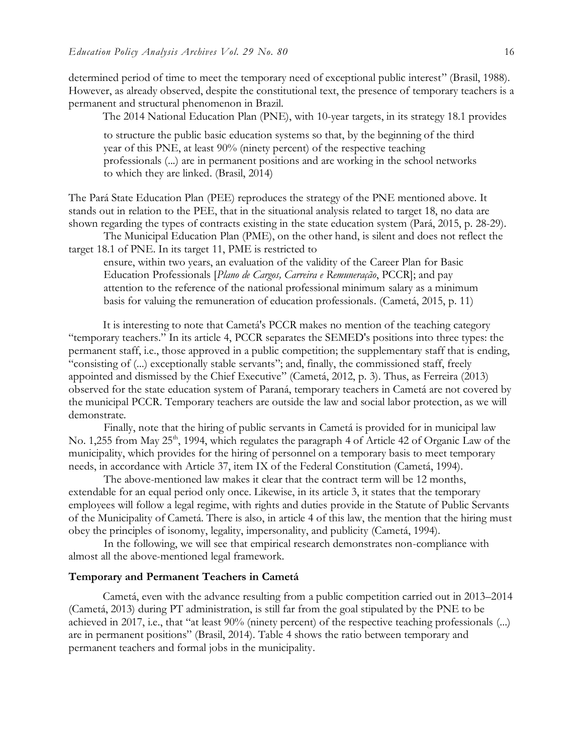determined period of time to meet the temporary need of exceptional public interest" (Brasil, 1988). However, as already observed, despite the constitutional text, the presence of temporary teachers is a permanent and structural phenomenon in Brazil.

The 2014 National Education Plan (PNE), with 10-year targets, in its strategy 18.1 provides

to structure the public basic education systems so that, by the beginning of the third year of this PNE, at least 90% (ninety percent) of the respective teaching professionals (...) are in permanent positions and are working in the school networks to which they are linked. (Brasil, 2014)

The Pará State Education Plan (PEE) reproduces the strategy of the PNE mentioned above. It stands out in relation to the PEE, that in the situational analysis related to target 18, no data are shown regarding the types of contracts existing in the state education system (Pará, 2015, p. 28-29).

The Municipal Education Plan (PME), on the other hand, is silent and does not reflect the target 18.1 of PNE. In its target 11, PME is restricted to

ensure, within two years, an evaluation of the validity of the Career Plan for Basic Education Professionals [*Plano de Cargos, Carreira e Remuneração*, PCCR]; and pay attention to the reference of the national professional minimum salary as a minimum basis for valuing the remuneration of education professionals. (Cametá, 2015, p. 11)

It is interesting to note that Cametá's PCCR makes no mention of the teaching category "temporary teachers." In its article 4, PCCR separates the SEMED's positions into three types: the permanent staff, i.e., those approved in a public competition; the supplementary staff that is ending, "consisting of (...) exceptionally stable servants"; and, finally, the commissioned staff, freely appointed and dismissed by the Chief Executive" (Cametá, 2012, p. 3). Thus, as Ferreira (2013) observed for the state education system of Paraná, temporary teachers in Cametá are not covered by the municipal PCCR. Temporary teachers are outside the law and social labor protection, as we will demonstrate.

Finally, note that the hiring of public servants in Cametá is provided for in municipal law No. 1,255 from May 25<sup>th</sup>, 1994, which regulates the paragraph 4 of Article 42 of Organic Law of the municipality, which provides for the hiring of personnel on a temporary basis to meet temporary needs, in accordance with Article 37, item IX of the Federal Constitution (Cametá, 1994).

The above-mentioned law makes it clear that the contract term will be 12 months, extendable for an equal period only once. Likewise, in its article 3, it states that the temporary employees will follow a legal regime, with rights and duties provide in the Statute of Public Servants of the Municipality of Cametá. There is also, in article 4 of this law, the mention that the hiring must obey the principles of isonomy, legality, impersonality, and publicity (Cametá, 1994).

In the following, we will see that empirical research demonstrates non-compliance with almost all the above-mentioned legal framework.

#### **Temporary and Permanent Teachers in Cametá**

Cametá, even with the advance resulting from a public competition carried out in 2013–2014 (Cametá, 2013) during PT administration, is still far from the goal stipulated by the PNE to be achieved in 2017, i.e., that "at least 90% (ninety percent) of the respective teaching professionals (...) are in permanent positions" (Brasil, 2014). Table 4 shows the ratio between temporary and permanent teachers and formal jobs in the municipality.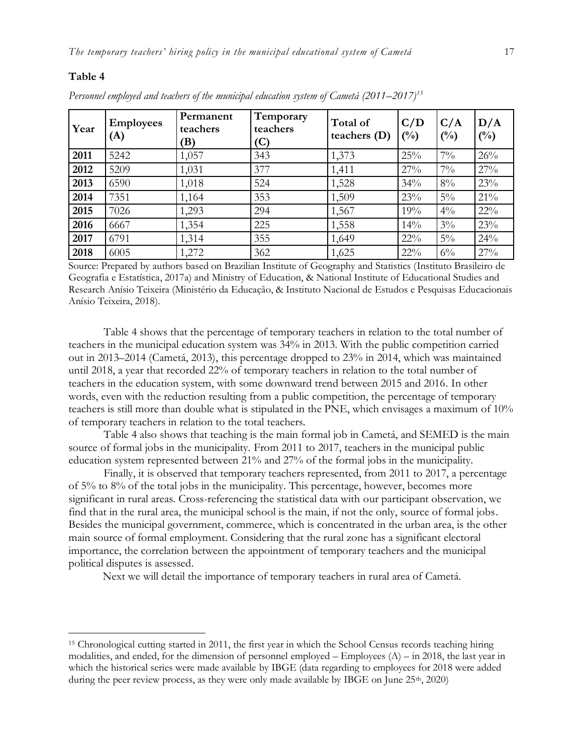#### **Table 4**

 $\overline{a}$ 

| Year | <b>Employees</b><br>(A) | Permanent<br>teachers<br>(B) | Temporary<br>teachers<br>(C) | Total of<br>teachers $(D)$ | C/D<br>$(\%)$ | C/A<br>$(^{0}/_{0})$ | D/A<br>$(^{0}/_{0})$ |
|------|-------------------------|------------------------------|------------------------------|----------------------------|---------------|----------------------|----------------------|
| 2011 | 5242                    | 1,057                        | 343                          | 1,373                      | 25%           | $7\%$                | 26%                  |
| 2012 | 5209                    | 1,031                        | 377                          | 1,411                      | 27%           | $7\%$                | 27%                  |
| 2013 | 6590                    | 1,018                        | 524                          | 1,528                      | 34%           | $8\%$                | 23%                  |
| 2014 | 7351                    | 1,164                        | 353                          | 1,509                      | 23%           | $5\%$                | $21\%$               |
| 2015 | 7026                    | 1,293                        | 294                          | 1,567                      | 19%           | $4\frac{0}{0}$       | $22\%$               |
| 2016 | 6667                    | 1,354                        | 225                          | 1,558                      | 14%           | $3\%$                | 23%                  |
| 2017 | 6791                    | 1,314                        | 355                          | 1,649                      | $22\%$        | $5\%$                | 24%                  |
| 2018 | 6005                    | 1,272                        | 362                          | 1,625                      | $22\%$        | $6\%$                | 27%                  |

*Personnel employed and teachers of the municipal education system of Cametá (2011–2017) 15*

Source: Prepared by authors based on Brazilian Institute of Geography and Statistics (Instituto Brasileiro de Geografia e Estatística, 2017a) and Ministry of Education, & National Institute of Educational Studies and Research Anísio Teixeira (Ministério da Educação, & Instituto Nacional de Estudos e Pesquisas Educacionais Anísio Teixeira, 2018).

Table 4 shows that the percentage of temporary teachers in relation to the total number of teachers in the municipal education system was 34% in 2013. With the public competition carried out in 2013–2014 (Cametá, 2013), this percentage dropped to 23% in 2014, which was maintained until 2018, a year that recorded 22% of temporary teachers in relation to the total number of teachers in the education system, with some downward trend between 2015 and 2016. In other words, even with the reduction resulting from a public competition, the percentage of temporary teachers is still more than double what is stipulated in the PNE, which envisages a maximum of 10% of temporary teachers in relation to the total teachers.

Table 4 also shows that teaching is the main formal job in Cametá, and SEMED is the main source of formal jobs in the municipality. From 2011 to 2017, teachers in the municipal public education system represented between 21% and 27% of the formal jobs in the municipality.

Finally, it is observed that temporary teachers represented, from 2011 to 2017, a percentage of 5% to 8% of the total jobs in the municipality. This percentage, however, becomes more significant in rural areas. Cross-referencing the statistical data with our participant observation, we find that in the rural area, the municipal school is the main, if not the only, source of formal jobs. Besides the municipal government, commerce, which is concentrated in the urban area, is the other main source of formal employment. Considering that the rural zone has a significant electoral importance, the correlation between the appointment of temporary teachers and the municipal political disputes is assessed.

Next we will detail the importance of temporary teachers in rural area of Cametá.

<sup>15</sup> Chronological cutting started in 2011, the first year in which the School Census records teaching hiring modalities, and ended, for the dimension of personnel employed – Employees (A) – in 2018, the last year in which the historical series were made available by IBGE (data regarding to employees for 2018 were added during the peer review process, as they were only made available by IBGE on June 25<sup>th</sup>, 2020)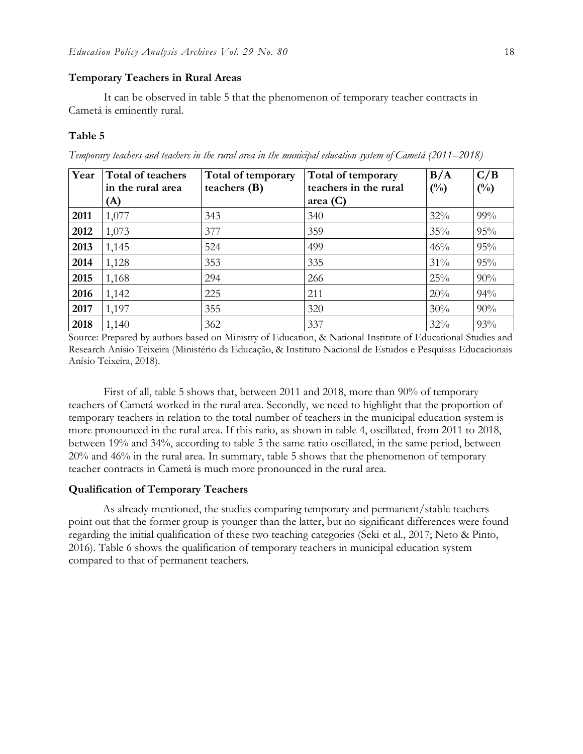# **Temporary Teachers in Rural Areas**

It can be observed in table 5 that the phenomenon of temporary teacher contracts in Cametá is eminently rural.

#### **Table 5**

| Year | Total of teachers<br>in the rural area<br>(A) | Total of temporary<br>teachers $(B)$ | Total of temporary<br>teachers in the rural<br>area $(C)$ | B/A<br>$(^{0}/_{0})$ | C/B<br>$(^{0}/_{0})$ |
|------|-----------------------------------------------|--------------------------------------|-----------------------------------------------------------|----------------------|----------------------|
| 2011 | 1,077                                         | 343                                  | 340                                                       | 32%                  | $99\%$               |
| 2012 | 1,073                                         | 377                                  | 359                                                       | 35%                  | 95%                  |
| 2013 | 1,145                                         | 524                                  | 499                                                       | 46%                  | 95%                  |
| 2014 | 1,128                                         | 353                                  | 335                                                       | 31%                  | 95%                  |
| 2015 | 1,168                                         | 294                                  | 266                                                       | 25%                  | 90%                  |
| 2016 | 1,142                                         | 225                                  | 211                                                       | 20%                  | 94%                  |
| 2017 | 1,197                                         | 355                                  | 320                                                       | 30%                  | 90%                  |
| 2018 | 1,140                                         | 362                                  | 337                                                       | 32%                  | 93%                  |

*Temporary teachers and teachers in the rural area in the municipal education system of Cametá (2011–2018)* 

Source: Prepared by authors based on Ministry of Education, & National Institute of Educational Studies and Research Anísio Teixeira (Ministério da Educação, & Instituto Nacional de Estudos e Pesquisas Educacionais Anísio Teixeira, 2018).

First of all, table 5 shows that, between 2011 and 2018, more than 90% of temporary teachers of Cametá worked in the rural area. Secondly, we need to highlight that the proportion of temporary teachers in relation to the total number of teachers in the municipal education system is more pronounced in the rural area. If this ratio, as shown in table 4, oscillated, from 2011 to 2018, between 19% and 34%, according to table 5 the same ratio oscillated, in the same period, between 20% and 46% in the rural area. In summary, table 5 shows that the phenomenon of temporary teacher contracts in Cametá is much more pronounced in the rural area.

### **Qualification of Temporary Teachers**

As already mentioned, the studies comparing temporary and permanent/stable teachers point out that the former group is younger than the latter, but no significant differences were found regarding the initial qualification of these two teaching categories (Seki et al., 2017; Neto & Pinto, 2016). Table 6 shows the qualification of temporary teachers in municipal education system compared to that of permanent teachers.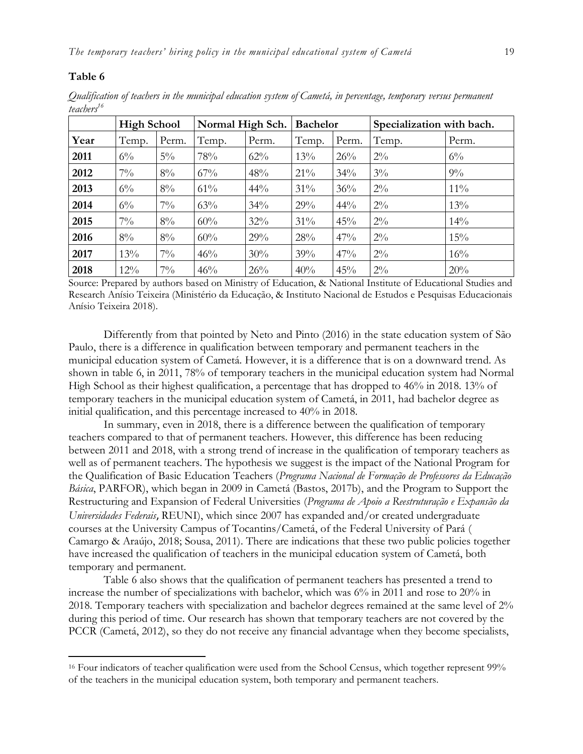#### **Table 6**

 $\overline{a}$ 

*Qualification of teachers in the municipal education system of Cametá, in percentage, temporary versus permanent teachers<sup>16</sup>*

|      | <b>High School</b> |       | Normal High Sch. |       | <b>Bachelor</b> |       | Specialization with bach. |        |
|------|--------------------|-------|------------------|-------|-----------------|-------|---------------------------|--------|
| Year | Temp.              | Perm. | Temp.            | Perm. | Temp.           | Perm. | Temp.                     | Perm.  |
| 2011 | $6\%$              | $5\%$ | 78%              | 62%   | 13%             | 26%   | $2\%$                     | $6\%$  |
| 2012 | $7\%$              | $8\%$ | $67\%$           | 48%   | $21\%$          | 34%   | $3\%$                     | $9\%$  |
| 2013 | $6\%$              | $8\%$ | 61%              | 44%   | $31\%$          | 36%   | $2\%$                     | $11\%$ |
| 2014 | $6\%$              | $7\%$ | 63%              | 34%   | 29%             | 44%   | $2\%$                     | 13%    |
| 2015 | $7\%$              | $8\%$ | 60%              | 32%   | $31\%$          | 45%   | $2\%$                     | 14%    |
| 2016 | $8\%$              | $8\%$ | 60%              | 29%   | 28%             | 47%   | $2\%$                     | 15%    |
| 2017 | 13%                | $7\%$ | 46%              | 30%   | 39%             | 47%   | $2\%$                     | 16%    |
| 2018 | $12\%$             | $7\%$ | 46%              | 26%   | 40%             | 45%   | $2\%$                     | 20%    |

Source: Prepared by authors based on Ministry of Education, & National Institute of Educational Studies and Research Anísio Teixeira (Ministério da Educação, & Instituto Nacional de Estudos e Pesquisas Educacionais Anísio Teixeira 2018).

Differently from that pointed by Neto and Pinto (2016) in the state education system of São Paulo, there is a difference in qualification between temporary and permanent teachers in the municipal education system of Cametá. However, it is a difference that is on a downward trend. As shown in table 6, in 2011, 78% of temporary teachers in the municipal education system had Normal High School as their highest qualification, a percentage that has dropped to 46% in 2018. 13% of temporary teachers in the municipal education system of Cametá, in 2011, had bachelor degree as initial qualification, and this percentage increased to 40% in 2018.

In summary, even in 2018, there is a difference between the qualification of temporary teachers compared to that of permanent teachers. However, this difference has been reducing between 2011 and 2018, with a strong trend of increase in the qualification of temporary teachers as well as of permanent teachers. The hypothesis we suggest is the impact of the National Program for the Qualification of Basic Education Teachers (*Programa Nacional de Formação de Professores da Educação Básica*, PARFOR), which began in 2009 in Cametá (Bastos, 2017b), and the Program to Support the Restructuring and Expansion of Federal Universities (*Programa de Apoio a Reestruturação e Expansão da Universidades Federais*, REUNI), which since 2007 has expanded and/or created undergraduate courses at the University Campus of Tocantins/Cametá, of the Federal University of Pará [\(](http://repositorio.ufpa.br/jspui/browse?type=author&value=SOUSA%2C+Maria+P%C3%A1scoa+Sarmento+de) [Camargo & Araújo, 2018; Sousa,](http://repositorio.ufpa.br/jspui/browse?type=author&value=SOUSA%2C+Maria+P%C3%A1scoa+Sarmento+de) 2011). There are indications that these two public policies together have increased the qualification of teachers in the municipal education system of Cametá, both temporary and permanent.

Table 6 also shows that the qualification of permanent teachers has presented a trend to increase the number of specializations with bachelor, which was 6% in 2011 and rose to 20% in 2018. Temporary teachers with specialization and bachelor degrees remained at the same level of 2% during this period of time. Our research has shown that temporary teachers are not covered by the PCCR (Cametá, 2012), so they do not receive any financial advantage when they become specialists,

<sup>&</sup>lt;sup>16</sup> Four indicators of teacher qualification were used from the School Census, which together represent 99% of the teachers in the municipal education system, both temporary and permanent teachers.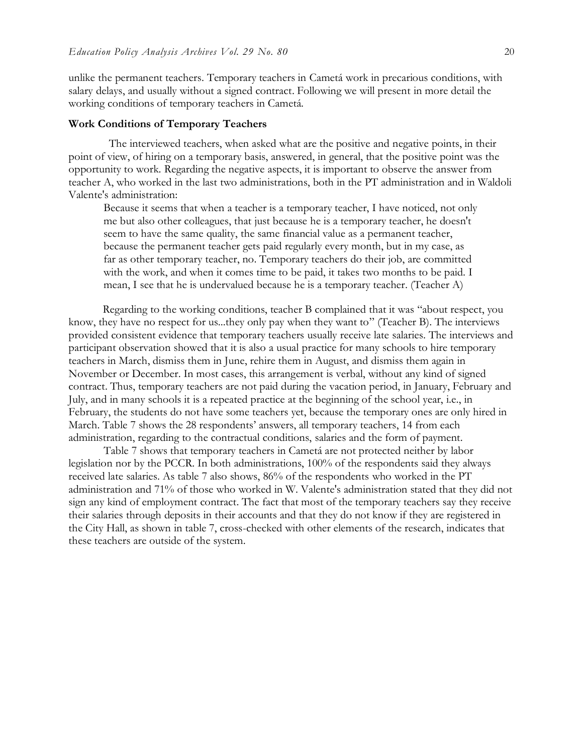unlike the permanent teachers. Temporary teachers in Cametá work in precarious conditions, with salary delays, and usually without a signed contract. Following we will present in more detail the working conditions of temporary teachers in Cametá.

#### **Work Conditions of Temporary Teachers**

The interviewed teachers, when asked what are the positive and negative points, in their point of view, of hiring on a temporary basis, answered, in general, that the positive point was the opportunity to work. Regarding the negative aspects, it is important to observe the answer from teacher A, who worked in the last two administrations, both in the PT administration and in Waldoli Valente's administration:

Because it seems that when a teacher is a temporary teacher, I have noticed, not only me but also other colleagues, that just because he is a temporary teacher, he doesn't seem to have the same quality, the same financial value as a permanent teacher, because the permanent teacher gets paid regularly every month, but in my case, as far as other temporary teacher, no. Temporary teachers do their job, are committed with the work, and when it comes time to be paid, it takes two months to be paid. I mean, I see that he is undervalued because he is a temporary teacher. (Teacher A)

Regarding to the working conditions, teacher B complained that it was "about respect, you know, they have no respect for us...they only pay when they want to" (Teacher B). The interviews provided consistent evidence that temporary teachers usually receive late salaries. The interviews and participant observation showed that it is also a usual practice for many schools to hire temporary teachers in March, dismiss them in June, rehire them in August, and dismiss them again in November or December. In most cases, this arrangement is verbal, without any kind of signed contract. Thus, temporary teachers are not paid during the vacation period, in January, February and July, and in many schools it is a repeated practice at the beginning of the school year, i.e., in February, the students do not have some teachers yet, because the temporary ones are only hired in March. Table 7 shows the 28 respondents' answers, all temporary teachers, 14 from each administration, regarding to the contractual conditions, salaries and the form of payment.

Table 7 shows that temporary teachers in Cametá are not protected neither by labor legislation nor by the PCCR. In both administrations, 100% of the respondents said they always received late salaries. As table 7 also shows, 86% of the respondents who worked in the PT administration and 71% of those who worked in W. Valente's administration stated that they did not sign any kind of employment contract. The fact that most of the temporary teachers say they receive their salaries through deposits in their accounts and that they do not know if they are registered in the City Hall, as shown in table 7, cross-checked with other elements of the research, indicates that these teachers are outside of the system.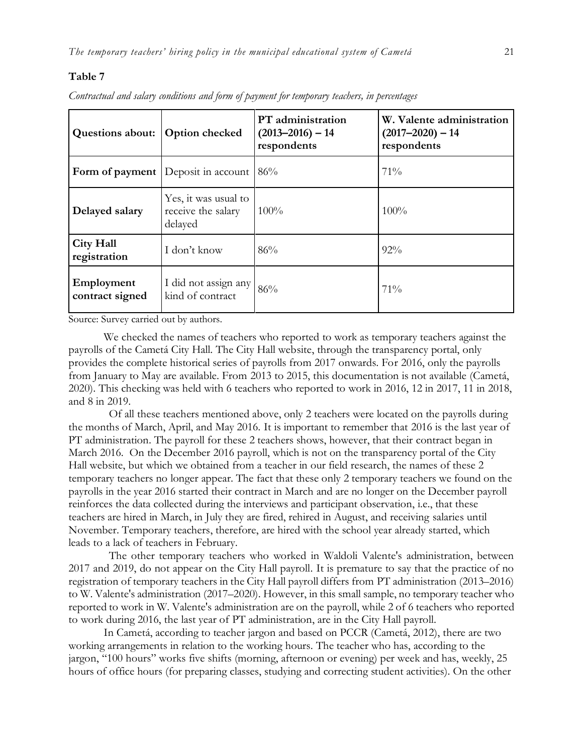#### **Table 7**

| <b>Questions about:</b>          | <b>Option checked</b>                                 | PT administration<br>$(2013 - 2016) - 14$<br>respondents | W. Valente administration<br>$(2017 - 2020) - 14$<br>respondents |  |
|----------------------------------|-------------------------------------------------------|----------------------------------------------------------|------------------------------------------------------------------|--|
|                                  | Form of payment Deposit in account                    | 86%                                                      | 71%                                                              |  |
| Delayed salary                   | Yes, it was usual to<br>receive the salary<br>delayed | $100\%$                                                  | 100%                                                             |  |
| <b>City Hall</b><br>registration | I don't know                                          | 86%                                                      | 92%                                                              |  |
| Employment<br>contract signed    | I did not assign any<br>kind of contract              | 86%                                                      | $71\%$                                                           |  |

*Contractual and salary conditions and form of payment for temporary teachers, in percentages*

Source: Survey carried out by authors.

We checked the names of teachers who reported to work as temporary teachers against the payrolls of the Cametá City Hall. The City Hall website, through the transparency portal, only provides the complete historical series of payrolls from 2017 onwards. For 2016, only the payrolls from January to May are available. From 2013 to 2015, this documentation is not available (Cametá, 2020). This checking was held with 6 teachers who reported to work in 2016, 12 in 2017, 11 in 2018, and 8 in 2019.

Of all these teachers mentioned above, only 2 teachers were located on the payrolls during the months of March, April, and May 2016. It is important to remember that 2016 is the last year of PT administration. The payroll for these 2 teachers shows, however, that their contract began in March 2016. On the December 2016 payroll, which is not on the transparency portal of the City Hall website, but which we obtained from a teacher in our field research, the names of these 2 temporary teachers no longer appear. The fact that these only 2 temporary teachers we found on the payrolls in the year 2016 started their contract in March and are no longer on the December payroll reinforces the data collected during the interviews and participant observation, i.e., that these teachers are hired in March, in July they are fired, rehired in August, and receiving salaries until November. Temporary teachers, therefore, are hired with the school year already started, which leads to a lack of teachers in February.

The other temporary teachers who worked in Waldoli Valente's administration, between 2017 and 2019, do not appear on the City Hall payroll. It is premature to say that the practice of no registration of temporary teachers in the City Hall payroll differs from PT administration (2013–2016) to W. Valente's administration (2017–2020). However, in this small sample, no temporary teacher who reported to work in W. Valente's administration are on the payroll, while 2 of 6 teachers who reported to work during 2016, the last year of PT administration, are in the City Hall payroll.

In Cametá, according to teacher jargon and based on PCCR (Cametá, 2012), there are two working arrangements in relation to the working hours. The teacher who has, according to the jargon, "100 hours" works five shifts (morning, afternoon or evening) per week and has, weekly, 25 hours of office hours (for preparing classes, studying and correcting student activities). On the other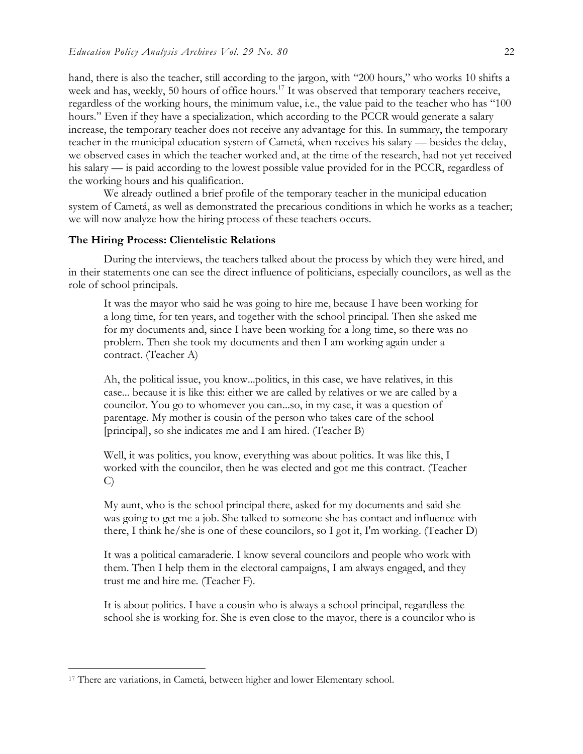hand, there is also the teacher, still according to the jargon, with "200 hours," who works 10 shifts a week and has, weekly, 50 hours of office hours.<sup>17</sup> It was observed that temporary teachers receive, regardless of the working hours, the minimum value, i.e., the value paid to the teacher who has "100 hours." Even if they have a specialization, which according to the PCCR would generate a salary increase, the temporary teacher does not receive any advantage for this. In summary, the temporary teacher in the municipal education system of Cametá, when receives his salary — besides the delay, we observed cases in which the teacher worked and, at the time of the research, had not yet received his salary — is paid according to the lowest possible value provided for in the PCCR, regardless of the working hours and his qualification.

We already outlined a brief profile of the temporary teacher in the municipal education system of Cametá, as well as demonstrated the precarious conditions in which he works as a teacher; we will now analyze how the hiring process of these teachers occurs.

#### **The Hiring Process: Clientelistic Relations**

During the interviews, the teachers talked about the process by which they were hired, and in their statements one can see the direct influence of politicians, especially councilors, as well as the role of school principals.

It was the mayor who said he was going to hire me, because I have been working for a long time, for ten years, and together with the school principal. Then she asked me for my documents and, since I have been working for a long time, so there was no problem. Then she took my documents and then I am working again under a contract. (Teacher A)

Ah, the political issue, you know...politics, in this case, we have relatives, in this case... because it is like this: either we are called by relatives or we are called by a councilor. You go to whomever you can...so, in my case, it was a question of parentage. My mother is cousin of the person who takes care of the school [principal], so she indicates me and I am hired. (Teacher B)

Well, it was politics, you know, everything was about politics. It was like this, I worked with the councilor, then he was elected and got me this contract. (Teacher C)

My aunt, who is the school principal there, asked for my documents and said she was going to get me a job. She talked to someone she has contact and influence with there, I think he/she is one of these councilors, so I got it, I'm working. (Teacher D)

It was a political camaraderie. I know several councilors and people who work with them. Then I help them in the electoral campaigns, I am always engaged, and they trust me and hire me. (Teacher F).

It is about politics. I have a cousin who is always a school principal, regardless the school she is working for. She is even close to the mayor, there is a councilor who is

<sup>&</sup>lt;sup>17</sup> There are variations, in Cametá, between higher and lower Elementary school.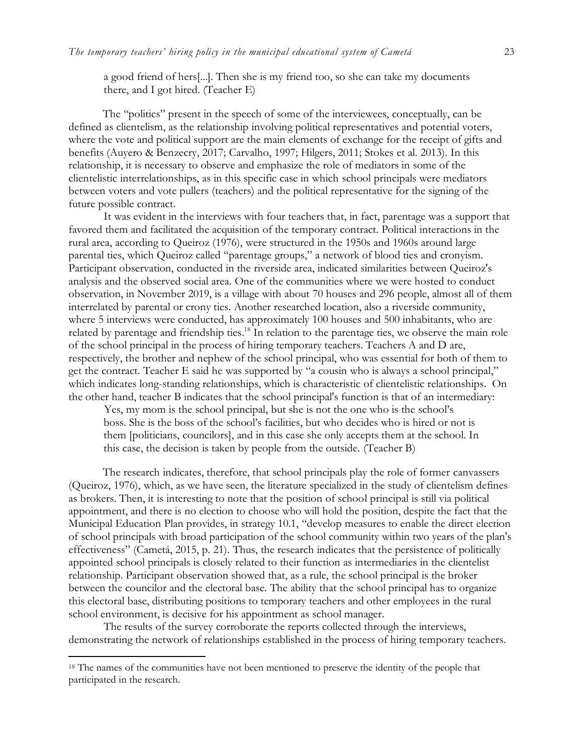a good friend of hers[...]. Then she is my friend too, so she can take my documents there, and I got hired. (Teacher E)

The "politics" present in the speech of some of the interviewees, conceptually, can be defined as clientelism, as the relationship involving political representatives and potential voters, where the vote and political support are the main elements of exchange for the receipt of gifts and benefits (Auyero & Benzecry, 2017; Carvalho, 1997; Hilgers, 2011; Stokes et al. 2013). In this relationship, it is necessary to observe and emphasize the role of mediators in some of the clientelistic interrelationships, as in this specific case in which school principals were mediators between voters and vote pullers (teachers) and the political representative for the signing of the future possible contract.

It was evident in the interviews with four teachers that, in fact, parentage was a support that favored them and facilitated the acquisition of the temporary contract. Political interactions in the rural area, according to Queiroz (1976), were structured in the 1950s and 1960s around large parental ties, which Queiroz called "parentage groups," a network of blood ties and cronyism. Participant observation, conducted in the riverside area, indicated similarities between Queiroz's analysis and the observed social area. One of the communities where we were hosted to conduct observation, in November 2019, is a village with about 70 houses and 296 people, almost all of them interrelated by parental or crony ties. Another researched location, also a riverside community, where 5 interviews were conducted, has approximately 100 houses and 500 inhabitants, who are related by parentage and friendship ties.<sup>18</sup> In relation to the parentage ties, we observe the main role of the school principal in the process of hiring temporary teachers. Teachers A and D are, respectively, the brother and nephew of the school principal, who was essential for both of them to get the contract. Teacher E said he was supported by "a cousin who is always a school principal," which indicates long-standing relationships, which is characteristic of clientelistic relationships. On the other hand, teacher B indicates that the school principal's function is that of an intermediary:

Yes, my mom is the school principal, but she is not the one who is the school's boss. She is the boss of the school's facilities, but who decides who is hired or not is them [politicians, councilors], and in this case she only accepts them at the school. In this case, the decision is taken by people from the outside. (Teacher B)

The research indicates, therefore, that school principals play the role of former canvassers (Queiroz, 1976), which, as we have seen, the literature specialized in the study of clientelism defines as brokers. Then, it is interesting to note that the position of school principal is still via political appointment, and there is no election to choose who will hold the position, despite the fact that the Municipal Education Plan provides, in strategy 10.1, "develop measures to enable the direct election of school principals with broad participation of the school community within two years of the plan's effectiveness" (Cametá, 2015, p. 21). Thus, the research indicates that the persistence of politically appointed school principals is closely related to their function as intermediaries in the clientelist relationship. Participant observation showed that, as a rule, the school principal is the broker between the councilor and the electoral base. The ability that the school principal has to organize this electoral base, distributing positions to temporary teachers and other employees in the rural school environment, is decisive for his appointment as school manager.

The results of the survey corroborate the reports collected through the interviews, demonstrating the network of relationships established in the process of hiring temporary teachers.

<sup>&</sup>lt;sup>18</sup> The names of the communities have not been mentioned to preserve the identity of the people that participated in the research.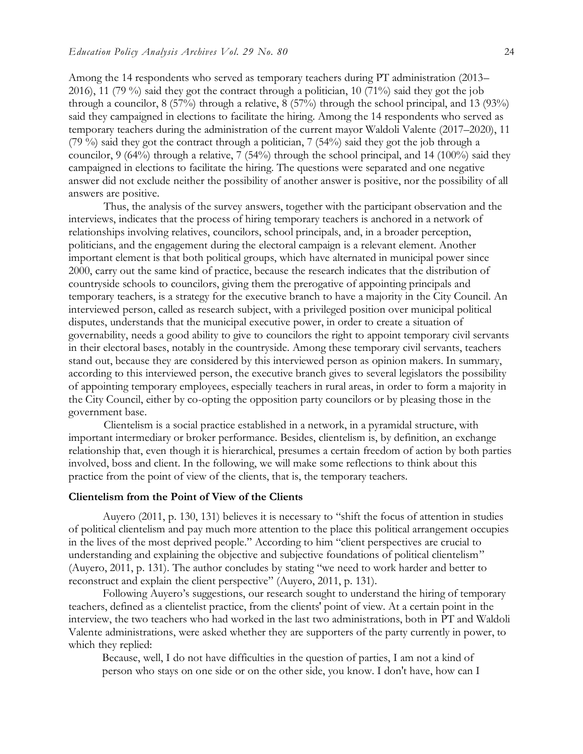Among the 14 respondents who served as temporary teachers during PT administration (2013– 2016), 11 (79 %) said they got the contract through a politician, 10 (71%) said they got the job through a councilor, 8 (57%) through a relative, 8 (57%) through the school principal, and 13 (93%) said they campaigned in elections to facilitate the hiring. Among the 14 respondents who served as temporary teachers during the administration of the current mayor Waldoli Valente (2017–2020), 11 (79 %) said they got the contract through a politician, 7 (54%) said they got the job through a councilor, 9 (64%) through a relative, 7 (54%) through the school principal, and 14 (100%) said they campaigned in elections to facilitate the hiring. The questions were separated and one negative answer did not exclude neither the possibility of another answer is positive, nor the possibility of all answers are positive.

Thus, the analysis of the survey answers, together with the participant observation and the interviews, indicates that the process of hiring temporary teachers is anchored in a network of relationships involving relatives, councilors, school principals, and, in a broader perception, politicians, and the engagement during the electoral campaign is a relevant element. Another important element is that both political groups, which have alternated in municipal power since 2000, carry out the same kind of practice, because the research indicates that the distribution of countryside schools to councilors, giving them the prerogative of appointing principals and temporary teachers, is a strategy for the executive branch to have a majority in the City Council. An interviewed person, called as research subject, with a privileged position over municipal political disputes, understands that the municipal executive power, in order to create a situation of governability, needs a good ability to give to councilors the right to appoint temporary civil servants in their electoral bases, notably in the countryside. Among these temporary civil servants, teachers stand out, because they are considered by this interviewed person as opinion makers. In summary, according to this interviewed person, the executive branch gives to several legislators the possibility of appointing temporary employees, especially teachers in rural areas, in order to form a majority in the City Council, either by co-opting the opposition party councilors or by pleasing those in the government base.

Clientelism is a social practice established in a network, in a pyramidal structure, with important intermediary or broker performance. Besides, clientelism is, by definition, an exchange relationship that, even though it is hierarchical, presumes a certain freedom of action by both parties involved, boss and client. In the following, we will make some reflections to think about this practice from the point of view of the clients, that is, the temporary teachers.

#### **Clientelism from the Point of View of the Clients**

Auyero (2011, p. 130, 131) believes it is necessary to "shift the focus of attention in studies of political clientelism and pay much more attention to the place this political arrangement occupies in the lives of the most deprived people." According to him "client perspectives are crucial to understanding and explaining the objective and subjective foundations of political clientelism" (Auyero, 2011, p. 131). The author concludes by stating "we need to work harder and better to reconstruct and explain the client perspective" (Auyero, 2011, p. 131).

Following Auyero's suggestions, our research sought to understand the hiring of temporary teachers, defined as a clientelist practice, from the clients' point of view. At a certain point in the interview, the two teachers who had worked in the last two administrations, both in PT and Waldoli Valente administrations, were asked whether they are supporters of the party currently in power, to which they replied:

Because, well, I do not have difficulties in the question of parties, I am not a kind of person who stays on one side or on the other side, you know. I don't have, how can I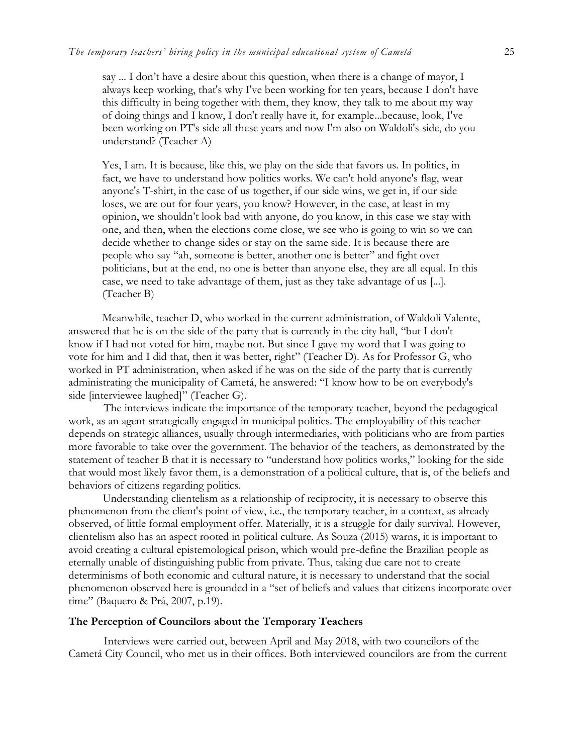say ... I don't have a desire about this question, when there is a change of mayor, I always keep working, that's why I've been working for ten years, because I don't have this difficulty in being together with them, they know, they talk to me about my way of doing things and I know, I don't really have it, for example...because, look, I've been working on PT's side all these years and now I'm also on Waldoli's side, do you understand? (Teacher A)

Yes, I am. It is because, like this, we play on the side that favors us. In politics, in fact, we have to understand how politics works. We can't hold anyone's flag, wear anyone's T-shirt, in the case of us together, if our side wins, we get in, if our side loses, we are out for four years, you know? However, in the case, at least in my opinion, we shouldn't look bad with anyone, do you know, in this case we stay with one, and then, when the elections come close, we see who is going to win so we can decide whether to change sides or stay on the same side. It is because there are people who say "ah, someone is better, another one is better" and fight over politicians, but at the end, no one is better than anyone else, they are all equal. In this case, we need to take advantage of them, just as they take advantage of us [...]. (Teacher B)

Meanwhile, teacher D, who worked in the current administration, of Waldoli Valente, answered that he is on the side of the party that is currently in the city hall, "but I don't know if I had not voted for him, maybe not. But since I gave my word that I was going to vote for him and I did that, then it was better, right" (Teacher D). As for Professor G, who worked in PT administration, when asked if he was on the side of the party that is currently administrating the municipality of Cametá, he answered: "I know how to be on everybody's side [interviewee laughed]" (Teacher G).

The interviews indicate the importance of the temporary teacher, beyond the pedagogical work, as an agent strategically engaged in municipal politics. The employability of this teacher depends on strategic alliances, usually through intermediaries, with politicians who are from parties more favorable to take over the government. The behavior of the teachers, as demonstrated by the statement of teacher B that it is necessary to "understand how politics works," looking for the side that would most likely favor them, is a demonstration of a political culture, that is, of the beliefs and behaviors of citizens regarding politics.

Understanding clientelism as a relationship of reciprocity, it is necessary to observe this phenomenon from the client's point of view, i.e., the temporary teacher, in a context, as already observed, of little formal employment offer. Materially, it is a struggle for daily survival. However, clientelism also has an aspect rooted in political culture. As Souza (2015) warns, it is important to avoid creating a cultural epistemological prison, which would pre-define the Brazilian people as eternally unable of distinguishing public from private. Thus, taking due care not to create determinisms of both economic and cultural nature, it is necessary to understand that the social phenomenon observed here is grounded in a "set of beliefs and values that citizens incorporate over time" (Baquero & Prá, 2007, p.19).

#### **The Perception of Councilors about the Temporary Teachers**

Interviews were carried out, between April and May 2018, with two councilors of the Cametá City Council, who met us in their offices. Both interviewed councilors are from the current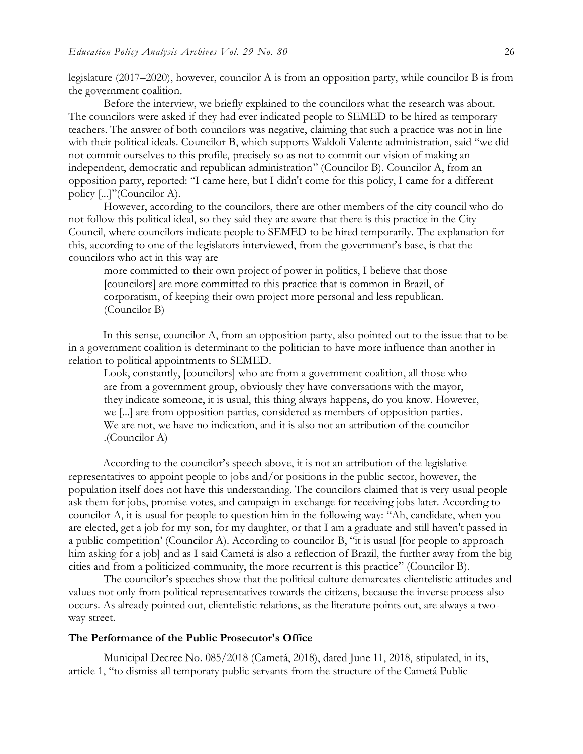legislature (2017–2020), however, councilor A is from an opposition party, while councilor B is from the government coalition.

Before the interview, we briefly explained to the councilors what the research was about. The councilors were asked if they had ever indicated people to SEMED to be hired as temporary teachers. The answer of both councilors was negative, claiming that such a practice was not in line with their political ideals. Councilor B, which supports Waldoli Valente administration, said "we did not commit ourselves to this profile, precisely so as not to commit our vision of making an independent, democratic and republican administration" (Councilor B). Councilor A, from an opposition party, reported: "I came here, but I didn't come for this policy, I came for a different policy [...]"(Councilor A).

However, according to the councilors, there are other members of the city council who do not follow this political ideal, so they said they are aware that there is this practice in the City Council, where councilors indicate people to SEMED to be hired temporarily. The explanation for this, according to one of the legislators interviewed, from the government's base, is that the councilors who act in this way are

more committed to their own project of power in politics, I believe that those [councilors] are more committed to this practice that is common in Brazil, of corporatism, of keeping their own project more personal and less republican. (Councilor B)

In this sense, councilor A, from an opposition party, also pointed out to the issue that to be in a government coalition is determinant to the politician to have more influence than another in relation to political appointments to SEMED.

Look, constantly, [councilors] who are from a government coalition, all those who are from a government group, obviously they have conversations with the mayor, they indicate someone, it is usual, this thing always happens, do you know. However, we [...] are from opposition parties, considered as members of opposition parties. We are not, we have no indication, and it is also not an attribution of the councilor .(Councilor A)

According to the councilor's speech above, it is not an attribution of the legislative representatives to appoint people to jobs and/or positions in the public sector, however, the population itself does not have this understanding. The councilors claimed that is very usual people ask them for jobs, promise votes, and campaign in exchange for receiving jobs later. According to councilor A, it is usual for people to question him in the following way: "Ah, candidate, when you are elected, get a job for my son, for my daughter, or that I am a graduate and still haven't passed in a public competition' (Councilor A). According to councilor B, "it is usual [for people to approach him asking for a job] and as I said Cametá is also a reflection of Brazil, the further away from the big cities and from a politicized community, the more recurrent is this practice" (Councilor B).

The councilor's speeches show that the political culture demarcates clientelistic attitudes and values not only from political representatives towards the citizens, because the inverse process also occurs. As already pointed out, clientelistic relations, as the literature points out, are always a twoway street.

# **The Performance of the Public Prosecutor's Office**

Municipal Decree No. 085/2018 (Cametá, 2018), dated June 11, 2018, stipulated, in its, article 1, "to dismiss all temporary public servants from the structure of the Cametá Public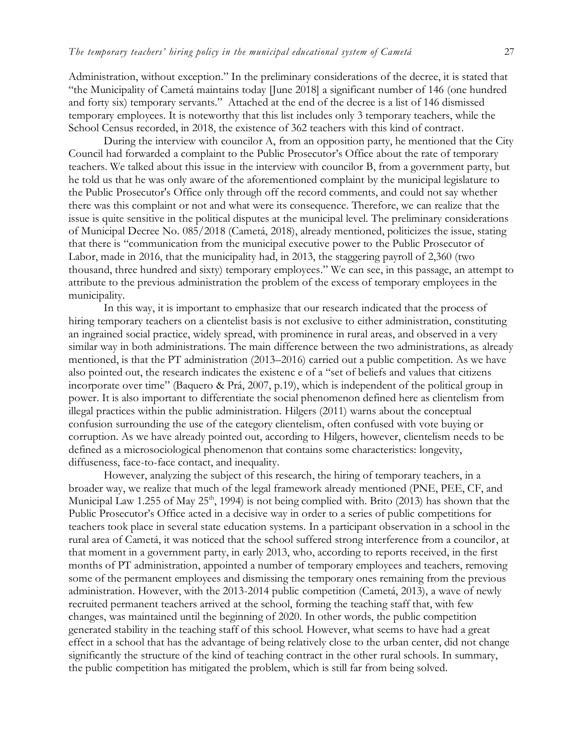Administration, without exception." In the preliminary considerations of the decree, it is stated that "the Municipality of Cametá maintains today [June 2018] a significant number of 146 (one hundred and forty six) temporary servants." Attached at the end of the decree is a list of 146 dismissed temporary employees. It is noteworthy that this list includes only 3 temporary teachers, while the School Census recorded, in 2018, the existence of 362 teachers with this kind of contract.

During the interview with councilor A, from an opposition party, he mentioned that the City Council had forwarded a complaint to the Public Prosecutor's Office about the rate of temporary teachers. We talked about this issue in the interview with councilor B, from a government party, but he told us that he was only aware of the aforementioned complaint by the municipal legislature to the Public Prosecutor's Office only through off the record comments, and could not say whether there was this complaint or not and what were its consequence. Therefore, we can realize that the issue is quite sensitive in the political disputes at the municipal level. The preliminary considerations of Municipal Decree No. 085/2018 (Cametá, 2018), already mentioned, politicizes the issue, stating that there is "communication from the municipal executive power to the Public Prosecutor of Labor, made in 2016, that the municipality had, in 2013, the staggering payroll of 2,360 (two thousand, three hundred and sixty) temporary employees." We can see, in this passage, an attempt to attribute to the previous administration the problem of the excess of temporary employees in the municipality.

In this way, it is important to emphasize that our research indicated that the process of hiring temporary teachers on a clientelist basis is not exclusive to either administration, constituting an ingrained social practice, widely spread, with prominence in rural areas, and observed in a very similar way in both administrations. The main difference between the two administrations, as already mentioned, is that the PT administration (2013–2016) carried out a public competition. As we have also pointed out, the research indicates the existenc e of a "set of beliefs and values that citizens incorporate over time" (Baquero & Prá, 2007, p.19), which is independent of the political group in power. It is also important to differentiate the social phenomenon defined here as clientelism from illegal practices within the public administration. Hilgers (2011) warns about the conceptual confusion surrounding the use of the category clientelism, often confused with vote buying or corruption. As we have already pointed out, according to Hilgers, however, clientelism needs to be defined as a microsociological phenomenon that contains some characteristics: longevity, diffuseness, face-to-face contact, and inequality.

However, analyzing the subject of this research, the hiring of temporary teachers, in a broader way, we realize that much of the legal framework already mentioned (PNE, PEE, CF, and Municipal Law 1.255 of May  $25<sup>th</sup>$ , 1994) is not being complied with. Brito (2013) has shown that the Public Prosecutor's Office acted in a decisive way in order to a series of public competitions for teachers took place in several state education systems. In a participant observation in a school in the rural area of Cametá, it was noticed that the school suffered strong interference from a councilor, at that moment in a government party, in early 2013, who, according to reports received, in the first months of PT administration, appointed a number of temporary employees and teachers, removing some of the permanent employees and dismissing the temporary ones remaining from the previous administration. However, with the 2013-2014 public competition (Cametá, 2013), a wave of newly recruited permanent teachers arrived at the school, forming the teaching staff that, with few changes, was maintained until the beginning of 2020. In other words, the public competition generated stability in the teaching staff of this school. However, what seems to have had a great effect in a school that has the advantage of being relatively close to the urban center, did not change significantly the structure of the kind of teaching contract in the other rural schools. In summary, the public competition has mitigated the problem, which is still far from being solved.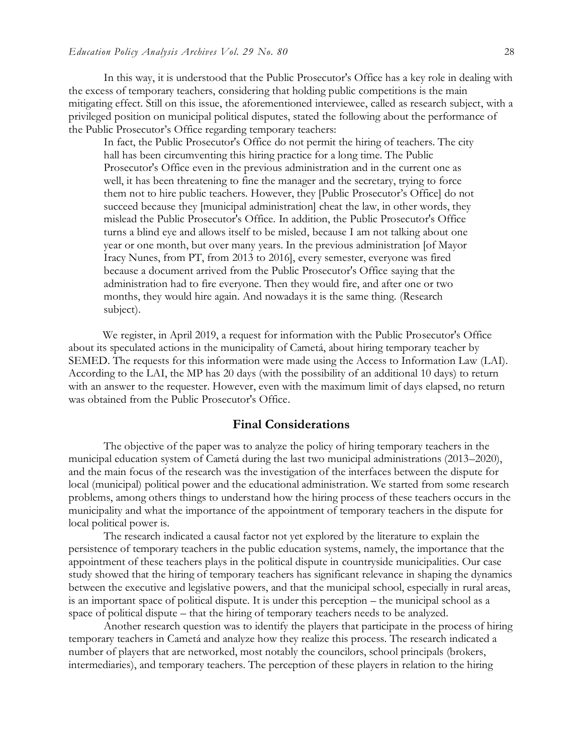In this way, it is understood that the Public Prosecutor's Office has a key role in dealing with the excess of temporary teachers, considering that holding public competitions is the main mitigating effect. Still on this issue, the aforementioned interviewee, called as research subject, with a privileged position on municipal political disputes, stated the following about the performance of the Public Prosecutor's Office regarding temporary teachers:

In fact, the Public Prosecutor's Office do not permit the hiring of teachers. The city hall has been circumventing this hiring practice for a long time. The Public Prosecutor's Office even in the previous administration and in the current one as well, it has been threatening to fine the manager and the secretary, trying to force them not to hire public teachers. However, they [Public Prosecutor's Office] do not succeed because they [municipal administration] cheat the law, in other words, they mislead the Public Prosecutor's Office. In addition, the Public Prosecutor's Office turns a blind eye and allows itself to be misled, because I am not talking about one year or one month, but over many years. In the previous administration [of Mayor Iracy Nunes, from PT, from 2013 to 2016], every semester, everyone was fired because a document arrived from the Public Prosecutor's Office saying that the administration had to fire everyone. Then they would fire, and after one or two months, they would hire again. And nowadays it is the same thing. (Research subject).

We register, in April 2019, a request for information with the Public Prosecutor's Office about its speculated actions in the municipality of Cametá, about hiring temporary teacher by SEMED. The requests for this information were made using the Access to Information Law (LAI). According to the LAI, the MP has 20 days (with the possibility of an additional 10 days) to return with an answer to the requester. However, even with the maximum limit of days elapsed, no return was obtained from the Public Prosecutor's Office.

# **Final Considerations**

The objective of the paper was to analyze the policy of hiring temporary teachers in the municipal education system of Cametá during the last two municipal administrations (2013–2020), and the main focus of the research was the investigation of the interfaces between the dispute for local (municipal) political power and the educational administration. We started from some research problems, among others things to understand how the hiring process of these teachers occurs in the municipality and what the importance of the appointment of temporary teachers in the dispute for local political power is.

The research indicated a causal factor not yet explored by the literature to explain the persistence of temporary teachers in the public education systems, namely, the importance that the appointment of these teachers plays in the political dispute in countryside municipalities. Our case study showed that the hiring of temporary teachers has significant relevance in shaping the dynamics between the executive and legislative powers, and that the municipal school, especially in rural areas, is an important space of political dispute. It is under this perception – the municipal school as a space of political dispute – that the hiring of temporary teachers needs to be analyzed.

Another research question was to identify the players that participate in the process of hiring temporary teachers in Cametá and analyze how they realize this process. The research indicated a number of players that are networked, most notably the councilors, school principals (brokers, intermediaries), and temporary teachers. The perception of these players in relation to the hiring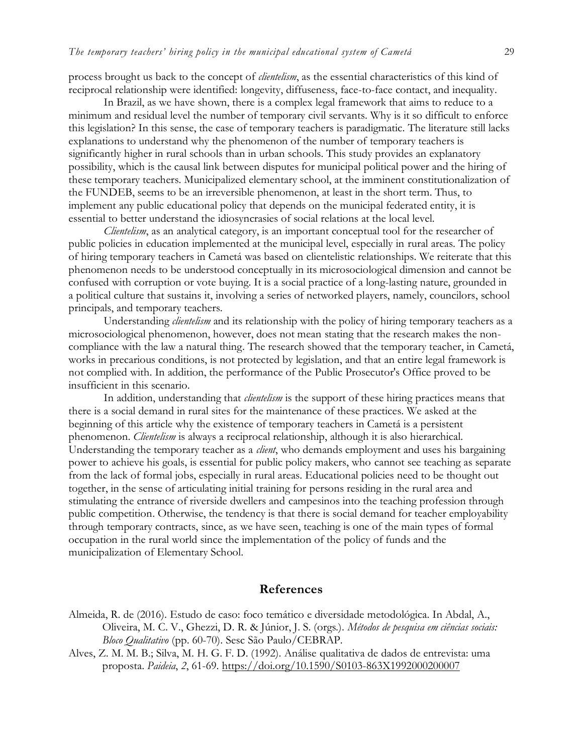process brought us back to the concept of *clientelism*, as the essential characteristics of this kind of reciprocal relationship were identified: longevity, diffuseness, face-to-face contact, and inequality.

In Brazil, as we have shown, there is a complex legal framework that aims to reduce to a minimum and residual level the number of temporary civil servants. Why is it so difficult to enforce this legislation? In this sense, the case of temporary teachers is paradigmatic. The literature still lacks explanations to understand why the phenomenon of the number of temporary teachers is significantly higher in rural schools than in urban schools. This study provides an explanatory possibility, which is the causal link between disputes for municipal political power and the hiring of these temporary teachers. Municipalized elementary school, at the imminent constitutionalization of the FUNDEB, seems to be an irreversible phenomenon, at least in the short term. Thus, to implement any public educational policy that depends on the municipal federated entity, it is essential to better understand the idiosyncrasies of social relations at the local level.

*Clientelism*, as an analytical category, is an important conceptual tool for the researcher of public policies in education implemented at the municipal level, especially in rural areas. The policy of hiring temporary teachers in Cametá was based on clientelistic relationships. We reiterate that this phenomenon needs to be understood conceptually in its microsociological dimension and cannot be confused with corruption or vote buying. It is a social practice of a long-lasting nature, grounded in a political culture that sustains it, involving a series of networked players, namely, councilors, school principals, and temporary teachers.

Understanding *clientelism* and its relationship with the policy of hiring temporary teachers as a microsociological phenomenon, however, does not mean stating that the research makes the noncompliance with the law a natural thing. The research showed that the temporary teacher, in Cametá, works in precarious conditions, is not protected by legislation, and that an entire legal framework is not complied with. In addition, the performance of the Public Prosecutor's Office proved to be insufficient in this scenario.

In addition, understanding that *clientelism* is the support of these hiring practices means that there is a social demand in rural sites for the maintenance of these practices. We asked at the beginning of this article why the existence of temporary teachers in Cametá is a persistent phenomenon. *Clientelism* is always a reciprocal relationship, although it is also hierarchical. Understanding the temporary teacher as a *client*, who demands employment and uses his bargaining power to achieve his goals, is essential for public policy makers, who cannot see teaching as separate from the lack of formal jobs, especially in rural areas. Educational policies need to be thought out together, in the sense of articulating initial training for persons residing in the rural area and stimulating the entrance of riverside dwellers and campesinos into the teaching profession through public competition. Otherwise, the tendency is that there is social demand for teacher employability through temporary contracts, since, as we have seen, teaching is one of the main types of formal occupation in the rural world since the implementation of the policy of funds and the municipalization of Elementary School.

# **References**

- Almeida, R. de (2016). Estudo de caso: foco temático e diversidade metodológica. In Abdal, A., Oliveira, M. C. V., Ghezzi, D. R. & Júnior, J. S. (orgs.). *Métodos de pesquisa em ciências sociais: Bloco Qualitativo* (pp. 60-70). Sesc São Paulo/CEBRAP.
- Alves, Z. M. M. B.; Silva, M. H. G. F. D. (1992). Análise qualitativa de dados de entrevista: uma proposta. *Paideia*, *2*, 61-69.<https://doi.org/10.1590/S0103-863X1992000200007>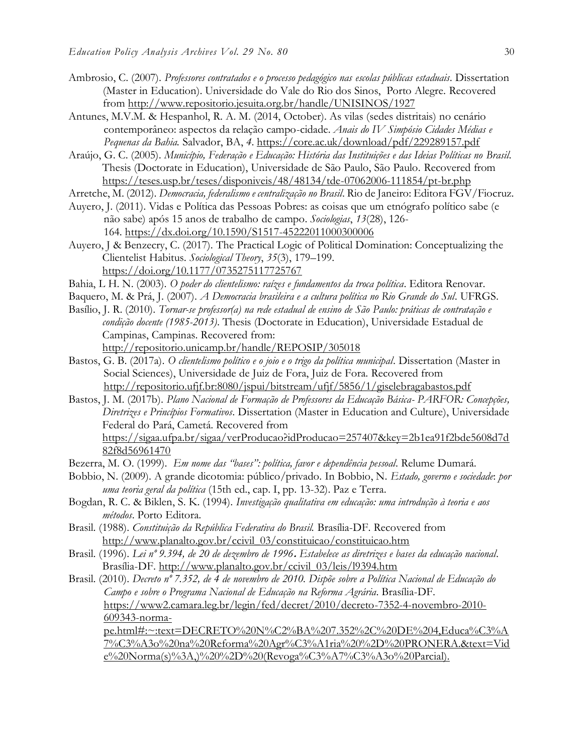- Ambrosio, C. (2007). *Professores contratados e o processo pedagógico nas escolas públicas estaduais*. Dissertation (Master in Education). Universidade do Vale do Rio dos Sinos, Porto Alegre. Recovered from<http://www.repositorio.jesuita.org.br/handle/UNISINOS/1927>
- [Antunes, M.V.M.](http://lattes.cnpq.br/4721712926759873) & Hespanhol, R. A. M. (2014, October). As vilas (sedes distritais) no cenário contemporâneo: aspectos da relação campo-cidade. *Anais do IV Simpósio Cidades Médias e Pequenas da Bahia.* Salvador, BA, *4*.<https://core.ac.uk/download/pdf/229289157.pdf>
- Araújo, G. C. (2005). *Município, Federação e Educação: História das Instituições e das Ideias Políticas no Brasil*. Thesis (Doctorate in Education), Universidade de São Paulo, São Paulo. Recovered from <https://teses.usp.br/teses/disponiveis/48/48134/tde-07062006-111854/pt-br.php>
- Arretche, M. (2012). *Democracia, federalismo e centralização no Brasil*. Rio de Janeiro: Editora FGV/Fiocruz.
- Auyero, J. (2011). Vidas e Política das Pessoas Pobres: as coisas que um etnógrafo político sabe (e não sabe) após 15 anos de trabalho de campo. *Sociologias*, *13*(28), 126- 164. <https://dx.doi.org/10.1590/S1517-45222011000300006>
- Auyero, J & Benzecry, C. (2017). The Practical Logic of Political Domination: Conceptualizing the Clientelist Habitus. *Sociological Theory*, *35*(3), 179–199. <https://doi.org/10.1177/0735275117725767>
- Bahia, L H. N. (2003). *O poder do clientelismo: raízes e fundamentos da troca política*. Editora Renovar.
- Baquero, M. & Prá, J. (2007). *A Democracia brasileira e a cultura política no Rio Grande do Sul*. UFRGS.
- Basílio, J. R. (2010). *Tornar-se professor(a) na rede estadual de ensino de São Paulo: práticas de contratação e condição docente (1985-2013)*. Thesis (Doctorate in Education), Universidade Estadual de Campinas, Campinas. Recovered from:
	- <http://repositorio.unicamp.br/handle/REPOSIP/305018>
- Bastos, G. B. (2017a). *O clientelismo político e o joio e o trigo da política municipal*. Dissertation (Master in Social Sciences), Universidade de Juiz de Fora, Juiz de Fora. Recovered from <http://repositorio.ufjf.br:8080/jspui/bitstream/ufjf/5856/1/giselebragabastos.pdf>
- Bastos, J. M. (2017b). *Plano Nacional de Formação de Professores da Educação Básica- PARFOR: Concepções, Diretrizes e Princípios Formativos*. Dissertation (Master in Education and Culture), Universidade Federal do Pará, Cametá. Recovered from [https://sigaa.ufpa.br/sigaa/verProducao?idProducao=257407&key=2b1ea91f2bde5608d7d](https://sigaa.ufpa.br/sigaa/verProducao?idProducao=257407&key=2b1ea91f2bde5608d7d82f8d56961470) [82f8d56961470](https://sigaa.ufpa.br/sigaa/verProducao?idProducao=257407&key=2b1ea91f2bde5608d7d82f8d56961470)
- Bezerra, M. O. (1999). *Em nome das "bases": política, favor e dependência pessoal*. Relume Dumará.
- Bobbio, N. (2009). A grande dicotomia: público/privado. In Bobbio, N. *Estado, governo e sociedade*: *por uma teoria geral da política* (15th ed., cap. I, pp. 13-32). Paz e Terra.
- Bogdan, R. C. & Biklen, S. K. (1994). *Investigação qualitativa em educação: uma introdução à teoria e aos métodos*. Porto Editora.
- Brasil. (1988). *Constituição da República Federativa do Brasil.* Brasília-DF. Recovered from [http://www.planalto.gov.br/ccivil\\_03/constituicao/constituicao.htm](http://www.planalto.gov.br/ccivil_03/constituicao/constituicao.htm)
- Brasil. (1996). *[Lei nº 9.394, de 20 de dezembro de 1996](http://legislacao.planalto.gov.br/legisla/legislacao.nsf/Viw_Identificacao/lei%209.394-1996?OpenDocument)***.** *Estabelece as diretrizes e bases da educação nacional*. Brasília-DF. [http://www.planalto.gov.br/ccivil\\_03/leis/l9394.htm](http://www.planalto.gov.br/ccivil_03/leis/l9394.htm)
- Brasil. (2010). *Decreto nº 7.352, de 4 de novembro de 2010. Dispõe sobre a Política Nacional de Educação do Campo e sobre o Programa Nacional de Educação na Reforma Agrária*. Brasília-DF. [https://www2.camara.leg.br/legin/fed/decret/2010/decreto-7352-4-novembro-2010-](https://www2.camara.leg.br/legin/fed/decret/2010/decreto-7352-4-novembro-2010-609343-norma-pe.html#:~:text=DECRETO%20N%C2%BA%207.352%2C%20DE%204,Educa%C3%A7%C3%A3o%20na%20Reforma%20Agr%C3%A1ria%20%2D%20PRONERA.&text=Vide%20Norma(s)%3A,)%20%2D%20(Revoga%C3%A7%C3%A3o%20Parcial).) [609343-norma-](https://www2.camara.leg.br/legin/fed/decret/2010/decreto-7352-4-novembro-2010-609343-norma-pe.html#:~:text=DECRETO%20N%C2%BA%207.352%2C%20DE%204,Educa%C3%A7%C3%A3o%20na%20Reforma%20Agr%C3%A1ria%20%2D%20PRONERA.&text=Vide%20Norma(s)%3A,)%20%2D%20(Revoga%C3%A7%C3%A3o%20Parcial).)

[pe.html#:~:text=DECRETO%20N%C2%BA%207.352%2C%20DE%204,Educa%C3%A](https://www2.camara.leg.br/legin/fed/decret/2010/decreto-7352-4-novembro-2010-609343-norma-pe.html#:~:text=DECRETO%20N%C2%BA%207.352%2C%20DE%204,Educa%C3%A7%C3%A3o%20na%20Reforma%20Agr%C3%A1ria%20%2D%20PRONERA.&text=Vide%20Norma(s)%3A,)%20%2D%20(Revoga%C3%A7%C3%A3o%20Parcial).) [7%C3%A3o%20na%20Reforma%20Agr%C3%A1ria%20%2D%20PRONERA.&text=Vid](https://www2.camara.leg.br/legin/fed/decret/2010/decreto-7352-4-novembro-2010-609343-norma-pe.html#:~:text=DECRETO%20N%C2%BA%207.352%2C%20DE%204,Educa%C3%A7%C3%A3o%20na%20Reforma%20Agr%C3%A1ria%20%2D%20PRONERA.&text=Vide%20Norma(s)%3A,)%20%2D%20(Revoga%C3%A7%C3%A3o%20Parcial).) [e%20Norma\(s\)%3A,\)%20%2D%20\(Revoga%C3%A7%C3%A3o%20Parcial\).](https://www2.camara.leg.br/legin/fed/decret/2010/decreto-7352-4-novembro-2010-609343-norma-pe.html#:~:text=DECRETO%20N%C2%BA%207.352%2C%20DE%204,Educa%C3%A7%C3%A3o%20na%20Reforma%20Agr%C3%A1ria%20%2D%20PRONERA.&text=Vide%20Norma(s)%3A,)%20%2D%20(Revoga%C3%A7%C3%A3o%20Parcial).)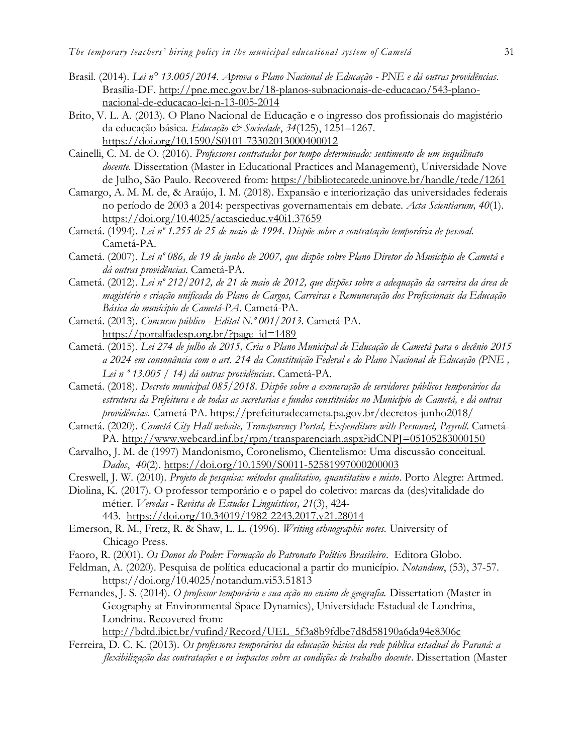- Brasil. (2014). *Lei n° 13.005/2014. Aprova o Plano Nacional de Educação - PNE e dá outras providências*. Brasília-DF. [http://pne.mec.gov.br/18-planos-subnacionais-de-educacao/543-plano](http://pne.mec.gov.br/18-planos-subnacionais-de-educacao/543-plano-nacional-de-educacao-lei-n-13-005-2014)[nacional-de-educacao-lei-n-13-005-2014](http://pne.mec.gov.br/18-planos-subnacionais-de-educacao/543-plano-nacional-de-educacao-lei-n-13-005-2014)
- [Brito, V. L. A. \(](http://www.google.com/search?q=%22Brito,%20Vera%20L%C3%BAcia%20Alves%20de%22)2013). O Plano Nacional de Educação e o ingresso dos profissionais do magistério da educação básica*. [Educação & Sociedade](https://search.scielo.org/?lang=pt&count=15&from=0&output=site&sort=&format=summary&fb=&page=1&q=professores+tempor%C3%A1rios)*, *34*(125), 1251–1267. <https://doi.org/10.1590/S0101-73302013000400012>
- Cainelli, C. M. de O. (2016). *Professores contratados por tempo determinado: sentimento de um inquilinato docente.* Dissertation (Master in Educational Practices and Management), Universidade Nove de Julho, São Paulo. Recovered from:<https://bibliotecatede.uninove.br/handle/tede/1261>
- Camargo, A. M. M. de, & Araújo, I. M. (2018). Expansão e interiorização das universidades federais no período de 2003 a 2014: perspectivas governamentais em debate. *Acta Scientiarum, 40*(1). <https://doi.org/10.4025/actascieduc.v40i1.37659>
- Cametá. (1994). *Lei nº 1.255 de 25 de maio de 1994. Dispõe sobre a contratação temporária de pessoal.*  Cametá-PA.
- Cametá. (2007). *Lei nº 086, de 19 de junho de 2007, que dispõe sobre Plano Diretor do Município de Cametá e dá outras providências.* Cametá-PA.
- Cametá. (2012). *Lei nº 212/2012, de 21 de maio de 2012, que dispões sobre a adequação da carreira da área de magistério e criação unificada do Plano de Cargos, Carreiras e Remuneração dos Profissionais da Educação Básica do munícipio de Cametá-PA*. Cametá-PA.
- Cametá. (2013). *Concurso público - Edital N.º 001/2013.* Cametá-PA. [https://portalfadesp.org.br/?page\\_id=1489](https://portalfadesp.org.br/?page_id=1489)
- Cametá. (2015)*. Lei 274 de julho de 2015, Cria o Plano Municipal de Educação de Cametá para o decênio 2015 a 2024 em consonância com o art. 214 da Constituição Federal e do Plano Nacional de Educação (PNE , Lei n º 13.005 / 14) dá outras providências*. Cametá-PA.
- Cametá. (2018). *Decreto municipal 085/2018*. *Dispõe sobre a exoneração de servidores públicos temporários da estrutura da Prefeitura e de todas as secretarias e fundos constituídos no Município de Cametá, e dá outras providências.* Cametá-PA.<https://prefeituradecameta.pa.gov.br/decretos-junho2018/>
- Cametá. (2020). *Cametá City Hall website, Transparency Portal, Expenditure with Personnel, Payroll.* Cametá-PA.<http://www.webcard.inf.br/rpm/transparenciarh.aspx?idCNPJ=05105283000150>
- Carvalho, J. M. de (1997) Mandonismo, Coronelismo, Clientelismo: Uma discussão conceitual. *Dados*, *40*(2).<https://doi.org/10.1590/S0011-52581997000200003>
- Creswell, J. W*.* (2010). *Projeto de pesquisa: métodos qualitativo, quantitativo e misto*. Porto Alegre: Artmed.
- Diolina, K. (2017). O professor temporário e o papel do coletivo: marcas da (des)vitalidade do métier. *Veredas - [Revista de Estudos Linguísticos,](https://periodicos.ufjf.br/index.php/veredas/index) 21*(3), 424-
	- 443. <https://doi.org/10.34019/1982-2243.2017.v21.28014>
- Emerson, R. M., Fretz, R. & Shaw, L. L. (1996). *Writing ethnographic notes.* University of Chicago Press.
- Faoro, R. (2001). *Os Donos do Poder: Formação do Patronato Político Brasileiro*. Editora Globo.
- Feldman, A. (2020). Pesquisa de política educacional a partir do município. *Notandum*, (53), 37-57. https://doi.org/10.4025/notandum.vi53.51813
- Fernandes, J. S. (2014). *O professor temporário e sua ação no ensino de geografia.* Dissertation (Master in Geography at Environmental Space Dynamics), Universidade Estadual de Londrina, Londrina. Recovered from:

[http://bdtd.ibict.br/vufind/Record/UEL\\_5f3a8b9fdbe7d8d58190a6da94e8306c](http://bdtd.ibict.br/vufind/Record/UEL_5f3a8b9fdbe7d8d58190a6da94e8306c)

Ferreira, D. C. K. (2013). *Os professores temporários da educação básica da rede pública estadual do Paraná: a flexibilização das contratações e os impactos sobre as condições de trabalho docente*. Dissertation (Master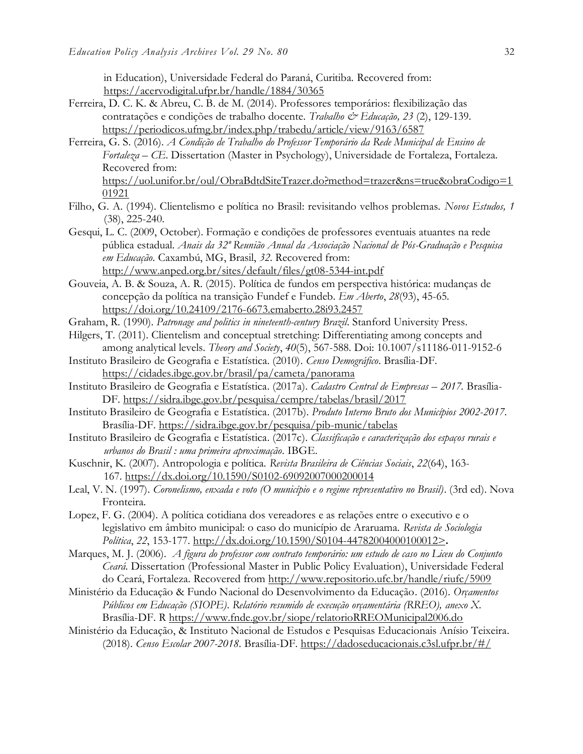in Education), Universidade Federal do Paraná, Curitiba. Recovered from: <https://acervodigital.ufpr.br/handle/1884/30365>

- Ferreira, D. C. K. & Abreu, C. B. de M. (2014). Professores temporários: flexibilização das contratações e condições de trabalho docente. *Trabalho & Educação, 23* (2), 129-139. <https://periodicos.ufmg.br/index.php/trabedu/article/view/9163/6587>
- Ferreira, G. S. (2016). *A Condição de Trabalho do Professor Temporário da Rede Municipal de Ensino de Fortaleza – CE*. Dissertation (Master in Psychology), Universidade de Fortaleza, Fortaleza. Recovered from: [https://uol.unifor.br/oul/ObraBdtdSiteTrazer.do?method=trazer&ns=true&obraCodigo=1](https://uol.unifor.br/oul/ObraBdtdSiteTrazer.do?method=trazer&ns=true&obraCodigo=101921) [01921](https://uol.unifor.br/oul/ObraBdtdSiteTrazer.do?method=trazer&ns=true&obraCodigo=101921)
- Filho, G. A. (1994). Clientelismo e política no Brasil: revisitando velhos problemas. *Novos Estudos, 1* (38), 225-240.
- Gesqui, L. C. (2009, October). Formação e condições de professores eventuais atuantes na rede pública estadual. *Anais da 32º Reunião Anual da Associação Nacional de Pós-Graduação e Pesquisa em Educação.* Caxambú, MG, Brasil, *32*. Recovered from: <http://www.anped.org.br/sites/default/files/gt08-5344-int.pdf>

Gouveia, A. B. & Souza, A. R. (2015). Política de fundos em perspectiva histórica: mudanças de concepção da política na transição Fundef e Fundeb. *Em Aberto*, *28*(93), 45-65. <https://doi.org/10.24109/2176-6673.emaberto.28i93.2457>

- Graham, R. (1990). *Patronage and politics in nineteenth-century Brazil*. Stanford University Press.
- Hilgers, T. (2011). Clientelism and conceptual stretching: Differentiating among concepts and among analytical levels. *Theory and Society*, *40*(5), 567-588. Doi: 10.1007/s11186-011-9152-6
- Instituto Brasileiro de Geografia e Estatística. (2010). *Censo Demográfico*. Brasília-DF. <https://cidades.ibge.gov.br/brasil/pa/cameta/panorama>
- Instituto Brasileiro de Geografia e Estatística. (2017a). *Cadastro Central de Empresas – 2017.* Brasília-DF.<https://sidra.ibge.gov.br/pesquisa/cempre/tabelas/brasil/2017>
- Instituto Brasileiro de Geografia e Estatística. (2017b). *Produto Interno Bruto dos Municípios 2002-2017*. Brasília-DF.<https://sidra.ibge.gov.br/pesquisa/pib-munic/tabelas>
- Instituto Brasileiro de Geografia e Estatística. (2017c). *Classificação e caracterização dos espaços rurais e urbanos do Brasil : uma primeira aproximação*. IBGE.
- Kuschnir, K. (2007). Antropologia e política. *Revista Brasileira de Ciências Sociais*, *22*(64), 163- 167. <https://dx.doi.org/10.1590/S0102-69092007000200014>
- Leal, V. N. (1997). *Coronelismo, enxada e voto (O município e o regime representativo no Brasil)*. (3rd ed). Nova Fronteira.
- Lopez, F. G. (2004). A política cotidiana dos vereadores e as relações entre o executivo e o legislativo em âmbito municipal: o caso do município de Araruama. *Revista de Sociologia Política*, *22*, 153-177. [http://dx.doi.org/10.1590/S0104-44782004000100012>](http://dx.doi.org/10.1590/S0104-44782004000100012)**.**
- Marques, M. J. (2006). *A figura do professor com contrato temporário: um estudo de caso no Liceu do Conjunto Ceará*. Dissertation (Professional Master in Public Policy Evaluation), Universidade Federal do Ceará, Fortaleza. Recovered from<http://www.repositorio.ufc.br/handle/riufc/5909>
- Ministério da Educação & Fundo Nacional do Desenvolvimento da Educação. (2016). *Orçamentos Públicos em Educação (SIOPE)*. *Relatório resumido de execução orçamentária (RREO), anexo X.* Brasília-DF. R<https://www.fnde.gov.br/siope/relatorioRREOMunicipal2006.do>
- Ministério da Educação, & Instituto Nacional de Estudos e Pesquisas Educacionais Anísio Teixeira. (2018). *Censo Escolar 2007-2018*. Brasília-DF.<https://dadoseducacionais.c3sl.ufpr.br/#/>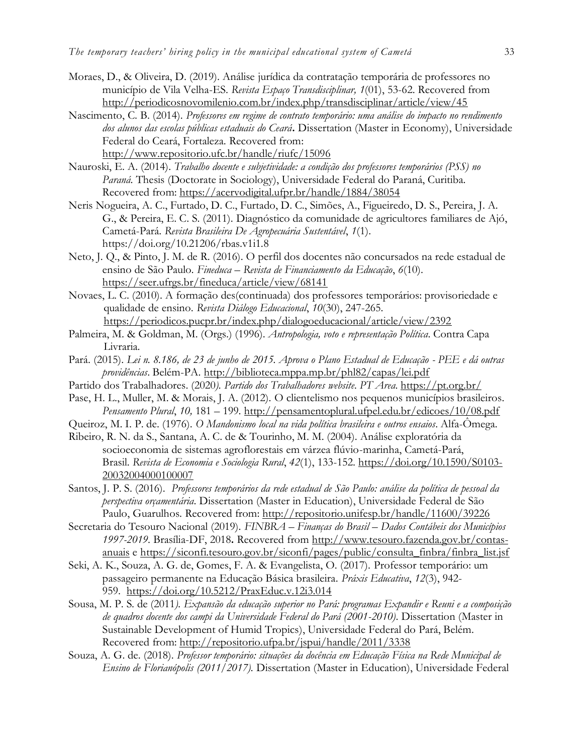- Moraes, D., & Oliveira, D. (2019). Análise jurídica da contratação temporária de professores no município de Vila Velha-ES. *Revista Espaço Transdisciplinar, 1*(01), 53-62. Recovered from <http://periodicosnovomilenio.com.br/index.php/transdisciplinar/article/view/45>
- Nascimento, C. B. (2014). *Professores em regime de contrato temporário: uma análise do impacto no rendimento dos alunos das escolas públicas estaduais do Ceará***.** Dissertation (Master in Economy), Universidade Federal do Ceará, Fortaleza. Recovered from:

<http://www.repositorio.ufc.br/handle/riufc/15096>

- Nauroski, E. A. (2014). *Trabalho docente e subjetividade: a condição dos professores temporários (PSS) no Paraná*. Thesis (Doctorate in Sociology), Universidade Federal do Paraná, Curitiba. Recovered from:<https://acervodigital.ufpr.br/handle/1884/38054>
- Neris Nogueira, A. C., Furtado, D. C., Furtado, D. C., Simões, A., Figueiredo, D. S., Pereira, J. A. G., & Pereira, E. C. S. (2011). Diagnóstico da comunidade de agricultores familiares de Ajó, Cametá-Pará. *Revista Brasileira De Agropecuária Sustentável*, *1*(1). https://doi.org/10.21206/rbas.v1i1.8
- Neto, J. Q., & Pinto, J. M. de R. (2016). O perfil dos docentes não concursados na rede estadual de ensino de São Paulo*. Fineduca – Revista de Financiamento da Educação*, *6*(10). <https://seer.ufrgs.br/fineduca/article/view/68141>
- Novaes, L. C. (2010). A formação des(continuada) dos professores temporários: provisoriedade e qualidade de ensino. *Revista Diálogo Educacional*, *10*(30), 247-265. <https://periodicos.pucpr.br/index.php/dialogoeducacional/article/view/2392>
- Palmeira, M. & Goldman, M. (Orgs.) (1996). *Antropologia, voto e representação Política*. Contra Capa Livraria.
- Pará. (2015). *Lei n. 8.186, de 23 de junho de 2015. Aprova o Plano Estadual de Educação - PEE e dá outras providências*. Belém-PA. <http://biblioteca.mppa.mp.br/phl82/capas/lei.pdf>
- Partido dos Trabalhadores. (2020*). Partido dos Trabalhadores website. PT Area*.<https://pt.org.br/>
- Pase, H. L., Muller, M. & Morais, J. A. (2012). O clientelismo nos pequenos municípios brasileiros. *Pensamento Plural*, *10,* 181 – 199.<http://pensamentoplural.ufpel.edu.br/edicoes/10/08.pdf>
- Queiroz, M. I. P. de. (1976). *O Mandonismo local na vida política brasileira e outros ensaios*. Alfa-Ômega.
- Ribeiro, R. N. da S., Santana, A. C. de & Tourinho, M. M. (2004). Análise exploratória da socioeconomia de sistemas agroflorestais em várzea flúvio-marinha, Cametá-Pará, Brasil. *Revista de Economia e Sociologia Rural*, *42*(1), 133-152. [https://doi.org/10.1590/S0103-](https://doi.org/10.1590/S0103-20032004000100007) [20032004000100007](https://doi.org/10.1590/S0103-20032004000100007)
- Santos, J. P. S. (2016). *Professores temporários da rede estadual de São Paulo: análise da política de pessoal da perspectiva orçamentária*. Dissertation (Master in Education), Universidade Federal de São Paulo, Guarulhos. Recovered from:<http://repositorio.unifesp.br/handle/11600/39226>
- Secretaria do Tesouro Nacional (2019). *FINBRA – Finanças do Brasil – Dados Contábeis dos Municípios 1997-2019*. Brasília-DF, 2018**.** Recovered from [http://www.tesouro.fazenda.gov.br/contas](http://www.tesouro.fazenda.gov.br/contas-anuais)[anuais](http://www.tesouro.fazenda.gov.br/contas-anuais) e [https://siconfi.tesouro.gov.br/siconfi/pages/public/consulta\\_finbra/finbra\\_list.jsf](https://siconfi.tesouro.gov.br/siconfi/pages/public/consulta_finbra/finbra_list.jsf)
- Seki, A. K., Souza, A. G. de, Gomes, F. A. & Evangelista, O. (2017). Professor temporário: um passageiro permanente na Educação Básica brasileira. *Práxis Educativa*, *12*(3), 942- 959. <https://doi.org/10.5212/PraxEduc.v.12i3.014>
- Sousa, M. P. S. de (2011*). Expansão da educação superior no Pará: programas Expandir e Reuni e a composição de quadros docente dos campi da Universidade Federal do Pará (2001-2010)*. Dissertation (Master in Sustainable Development of Humid Tropics), Universidade Federal do Pará, Belém. Recovered from:<http://repositorio.ufpa.br/jspui/handle/2011/3338>
- Souza, A. G. de. (2018). *Professor temporário: situações da docência em Educação Física na Rede Municipal de Ensino de Florianópolis (2011/2017).* Dissertation (Master in Education), Universidade Federal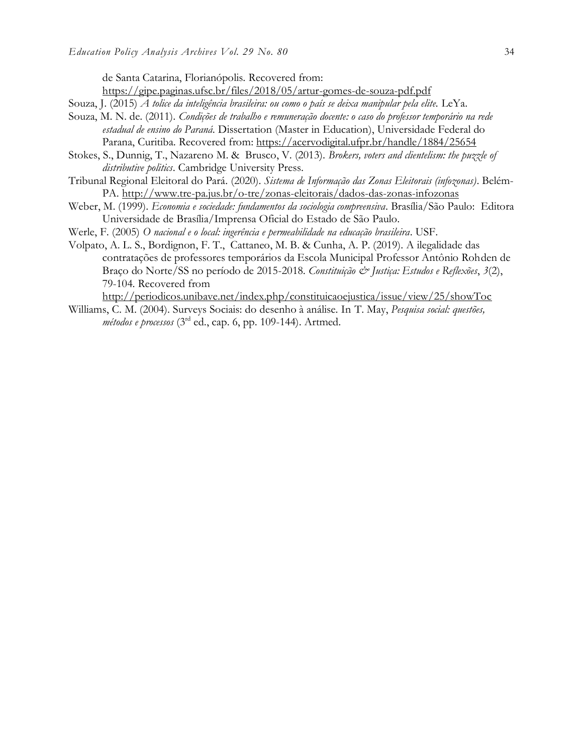de Santa Catarina, Florianópolis. Recovered from:

<https://gipe.paginas.ufsc.br/files/2018/05/artur-gomes-de-souza-pdf.pdf>

Souza, J. (2015) *A tolice da inteligência brasileira: ou como o país se deixa manipular pela elite.* LeYa.

- Souza, M. N. de. (2011). *Condições de trabalho e remuneração docente: o caso do professor temporário na rede estadual de ensino do Paraná*. Dissertation (Master in Education), Universidade Federal do Parana, Curitiba. Recovered from:<https://acervodigital.ufpr.br/handle/1884/25654>
- Stokes, S., Dunnig, T., Nazareno M. & Brusco, V. (2013). *Brokers, voters and clientelism: the puzzle of distributive politics*. Cambridge University Press.
- Tribunal Regional Eleitoral do Pará. (2020). *[Sistema de Informação das Zonas Eleitorais \(infozonas\)](http://www.tre-pa.jus.br/o-tre/zonas-eleitorais/dados-das-zonas-infozonas)*. Belém-PA.<http://www.tre-pa.jus.br/o-tre/zonas-eleitorais/dados-das-zonas-infozonas>
- Weber, M. (1999). *Economia e sociedade: fundamentos da sociologia compreensiva*. Brasília/São Paulo: Editora Universidade de Brasília/Imprensa Oficial do Estado de São Paulo.
- Werle, F. (2005) *O nacional e o local: ingerência e permeabilidade na educação brasileira*. USF.
- Volpato, A. L. S., Bordignon, F. T., Cattaneo, M. B. & Cunha, A. P. (2019). A ilegalidade das contratações de professores temporários da Escola Municipal Professor Antônio Rohden de Braço do Norte/SS no período de 2015-2018. Constituição & Justiça: Estudos e Reflexões, 3(2), 79-104. Recovered from

<http://periodicos.unibave.net/index.php/constituicaoejustica/issue/view/25/showToc>

Williams, C. M. (2004). Surveys Sociais: do desenho à análise. In T. May, *Pesquisa social: questões, métodos e processos* (3rd ed., cap. 6, pp. 109-144). Artmed.